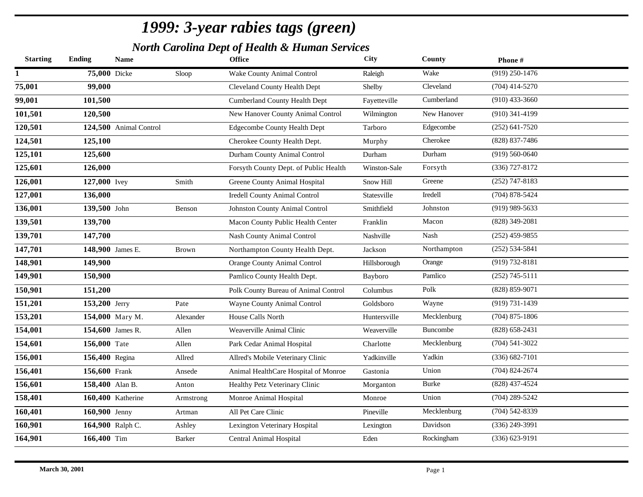*North Carolina Dept of Health & Human Services*

| $(919)$ 250-1476<br>Wake<br>75,000 Dicke<br>Wake County Animal Control<br>Sloop<br>Raleigh<br>75,001<br>99,000<br>Cleveland<br>$(704)$ 414-5270<br>Cleveland County Health Dept<br>Shelby<br>99,001<br>101,500<br>Cumberland<br>$(910)$ 433-3660<br><b>Cumberland County Health Dept</b><br>Fayetteville<br>101,501<br>New Hanover County Animal Control<br>Wilmington<br>New Hanover<br>$(910)$ 341-4199<br>120,500<br>120,501<br>$(252) 641 - 7520$<br><b>Edgecombe County Health Dept</b><br>Edgecombe<br>124,500 Animal Control<br>Tarboro<br>124,501<br>Cherokee<br>(828) 837-7486<br>125,100<br>Cherokee County Health Dept.<br>Murphy<br>125,101<br>Durham<br>$(919) 560 - 0640$<br>125,600<br>Durham County Animal Control<br>Durham<br>125,601<br>126,000<br>(336) 727-8172<br>Forsyth County Dept. of Public Health<br>Winston-Sale<br>Forsyth<br>126,001<br>$(252)$ 747-8183<br>127,000 Ivey<br>Greene County Animal Hospital<br>Greene<br>Smith<br>Snow Hill<br>127,001<br>Iredell<br>$(704)$ 878-5424<br>136,000<br><b>Iredell County Animal Control</b><br>Statesville<br>136,001<br>$(919)$ 989-5633<br>Johnston<br>139,500 John<br>Johnston County Animal Control<br>Smithfield<br>Benson<br>139,501<br>Macon<br>$(828)$ 349-2081<br>139,700<br>Macon County Public Health Center<br>Franklin<br>139,701<br>Nash<br>$(252)$ 459-9855<br>147,700<br><b>Nash County Animal Control</b><br>Nashville<br>147,701<br>Northampton<br>$(252) 534 - 5841$<br>148,900 James E.<br>Northampton County Health Dept.<br>Jackson<br>Brown<br>148,901<br>(919) 732-8181<br>149,900<br>Orange County Animal Control<br>Hillsborough<br>Orange<br>149,901<br>Pamlico<br>$(252)$ 745-5111<br>150,900<br>Pamlico County Health Dept.<br>Bayboro<br>150,901<br>151,200<br>Polk<br>(828) 859-9071<br>Polk County Bureau of Animal Control<br>Columbus<br>151,201<br>(919) 731-1439<br>153,200 Jerry<br>Wayne County Animal Control<br>Goldsboro<br>Wayne<br>Pate<br>153,201<br>Mecklenburg<br>$(704)$ 875-1806<br>154,000 Mary M.<br>House Calls North<br>Huntersville<br>Alexander<br>154,001<br>154,600 James R.<br>Buncombe<br>$(828) 658 - 2431$<br>Allen<br>Weaverville Animal Clinic<br>Weaverville<br>154,601<br>Mecklenburg<br>$(704) 541 - 3022$<br>156,000 Tate<br>Park Cedar Animal Hospital<br>Allen<br>Charlotte<br>156,001<br>Yadkin<br>$(336) 682 - 7101$<br>156,400 Regina<br>Allred's Mobile Veterinary Clinic<br>Yadkinville<br>Allred<br>156,401<br>Union<br>$(704)$ 824-2674<br>156,600 Frank<br>Animal HealthCare Hospital of Monroe<br>Gastonia<br>Ansede<br>156,601<br><b>Burke</b><br>(828) 437-4524<br>158,400 Alan B.<br>Healthy Petz Veterinary Clinic<br>Anton<br>Morganton<br>158,401<br>$(704)$ 289-5242<br>160,400 Katherine<br>Union<br>Monroe Animal Hospital<br>Monroe<br>Armstrong<br>$(704) 542 - 8339$<br>160,401<br>Mecklenburg<br>160,900 Jenny<br>All Pet Care Clinic<br>Pineville<br>Artman<br>(336) 249-3991<br>160,901<br>Davidson<br>164,900 Ralph C.<br>Lexington Veterinary Hospital<br>Lexington<br>Ashley<br>164,901<br>Rockingham<br>$(336) 623 - 9191$<br>166,400 Tim<br><b>Barker</b><br>Central Animal Hospital<br>Eden | <b>Starting</b> | <b>Ending</b> | <b>Name</b> | <b>Office</b> | <b>City</b> | County | Phone# |
|-------------------------------------------------------------------------------------------------------------------------------------------------------------------------------------------------------------------------------------------------------------------------------------------------------------------------------------------------------------------------------------------------------------------------------------------------------------------------------------------------------------------------------------------------------------------------------------------------------------------------------------------------------------------------------------------------------------------------------------------------------------------------------------------------------------------------------------------------------------------------------------------------------------------------------------------------------------------------------------------------------------------------------------------------------------------------------------------------------------------------------------------------------------------------------------------------------------------------------------------------------------------------------------------------------------------------------------------------------------------------------------------------------------------------------------------------------------------------------------------------------------------------------------------------------------------------------------------------------------------------------------------------------------------------------------------------------------------------------------------------------------------------------------------------------------------------------------------------------------------------------------------------------------------------------------------------------------------------------------------------------------------------------------------------------------------------------------------------------------------------------------------------------------------------------------------------------------------------------------------------------------------------------------------------------------------------------------------------------------------------------------------------------------------------------------------------------------------------------------------------------------------------------------------------------------------------------------------------------------------------------------------------------------------------------------------------------------------------------------------------------------------------------------------------------------------------------------------------------------------------------------------------------------------------------------------------------------------------------------------------------------------------------------------------------------------------------------------------------------------------------------------------------------------------|-----------------|---------------|-------------|---------------|-------------|--------|--------|
|                                                                                                                                                                                                                                                                                                                                                                                                                                                                                                                                                                                                                                                                                                                                                                                                                                                                                                                                                                                                                                                                                                                                                                                                                                                                                                                                                                                                                                                                                                                                                                                                                                                                                                                                                                                                                                                                                                                                                                                                                                                                                                                                                                                                                                                                                                                                                                                                                                                                                                                                                                                                                                                                                                                                                                                                                                                                                                                                                                                                                                                                                                                                                                         |                 |               |             |               |             |        |        |
|                                                                                                                                                                                                                                                                                                                                                                                                                                                                                                                                                                                                                                                                                                                                                                                                                                                                                                                                                                                                                                                                                                                                                                                                                                                                                                                                                                                                                                                                                                                                                                                                                                                                                                                                                                                                                                                                                                                                                                                                                                                                                                                                                                                                                                                                                                                                                                                                                                                                                                                                                                                                                                                                                                                                                                                                                                                                                                                                                                                                                                                                                                                                                                         |                 |               |             |               |             |        |        |
|                                                                                                                                                                                                                                                                                                                                                                                                                                                                                                                                                                                                                                                                                                                                                                                                                                                                                                                                                                                                                                                                                                                                                                                                                                                                                                                                                                                                                                                                                                                                                                                                                                                                                                                                                                                                                                                                                                                                                                                                                                                                                                                                                                                                                                                                                                                                                                                                                                                                                                                                                                                                                                                                                                                                                                                                                                                                                                                                                                                                                                                                                                                                                                         |                 |               |             |               |             |        |        |
|                                                                                                                                                                                                                                                                                                                                                                                                                                                                                                                                                                                                                                                                                                                                                                                                                                                                                                                                                                                                                                                                                                                                                                                                                                                                                                                                                                                                                                                                                                                                                                                                                                                                                                                                                                                                                                                                                                                                                                                                                                                                                                                                                                                                                                                                                                                                                                                                                                                                                                                                                                                                                                                                                                                                                                                                                                                                                                                                                                                                                                                                                                                                                                         |                 |               |             |               |             |        |        |
|                                                                                                                                                                                                                                                                                                                                                                                                                                                                                                                                                                                                                                                                                                                                                                                                                                                                                                                                                                                                                                                                                                                                                                                                                                                                                                                                                                                                                                                                                                                                                                                                                                                                                                                                                                                                                                                                                                                                                                                                                                                                                                                                                                                                                                                                                                                                                                                                                                                                                                                                                                                                                                                                                                                                                                                                                                                                                                                                                                                                                                                                                                                                                                         |                 |               |             |               |             |        |        |
|                                                                                                                                                                                                                                                                                                                                                                                                                                                                                                                                                                                                                                                                                                                                                                                                                                                                                                                                                                                                                                                                                                                                                                                                                                                                                                                                                                                                                                                                                                                                                                                                                                                                                                                                                                                                                                                                                                                                                                                                                                                                                                                                                                                                                                                                                                                                                                                                                                                                                                                                                                                                                                                                                                                                                                                                                                                                                                                                                                                                                                                                                                                                                                         |                 |               |             |               |             |        |        |
|                                                                                                                                                                                                                                                                                                                                                                                                                                                                                                                                                                                                                                                                                                                                                                                                                                                                                                                                                                                                                                                                                                                                                                                                                                                                                                                                                                                                                                                                                                                                                                                                                                                                                                                                                                                                                                                                                                                                                                                                                                                                                                                                                                                                                                                                                                                                                                                                                                                                                                                                                                                                                                                                                                                                                                                                                                                                                                                                                                                                                                                                                                                                                                         |                 |               |             |               |             |        |        |
|                                                                                                                                                                                                                                                                                                                                                                                                                                                                                                                                                                                                                                                                                                                                                                                                                                                                                                                                                                                                                                                                                                                                                                                                                                                                                                                                                                                                                                                                                                                                                                                                                                                                                                                                                                                                                                                                                                                                                                                                                                                                                                                                                                                                                                                                                                                                                                                                                                                                                                                                                                                                                                                                                                                                                                                                                                                                                                                                                                                                                                                                                                                                                                         |                 |               |             |               |             |        |        |
|                                                                                                                                                                                                                                                                                                                                                                                                                                                                                                                                                                                                                                                                                                                                                                                                                                                                                                                                                                                                                                                                                                                                                                                                                                                                                                                                                                                                                                                                                                                                                                                                                                                                                                                                                                                                                                                                                                                                                                                                                                                                                                                                                                                                                                                                                                                                                                                                                                                                                                                                                                                                                                                                                                                                                                                                                                                                                                                                                                                                                                                                                                                                                                         |                 |               |             |               |             |        |        |
|                                                                                                                                                                                                                                                                                                                                                                                                                                                                                                                                                                                                                                                                                                                                                                                                                                                                                                                                                                                                                                                                                                                                                                                                                                                                                                                                                                                                                                                                                                                                                                                                                                                                                                                                                                                                                                                                                                                                                                                                                                                                                                                                                                                                                                                                                                                                                                                                                                                                                                                                                                                                                                                                                                                                                                                                                                                                                                                                                                                                                                                                                                                                                                         |                 |               |             |               |             |        |        |
|                                                                                                                                                                                                                                                                                                                                                                                                                                                                                                                                                                                                                                                                                                                                                                                                                                                                                                                                                                                                                                                                                                                                                                                                                                                                                                                                                                                                                                                                                                                                                                                                                                                                                                                                                                                                                                                                                                                                                                                                                                                                                                                                                                                                                                                                                                                                                                                                                                                                                                                                                                                                                                                                                                                                                                                                                                                                                                                                                                                                                                                                                                                                                                         |                 |               |             |               |             |        |        |
|                                                                                                                                                                                                                                                                                                                                                                                                                                                                                                                                                                                                                                                                                                                                                                                                                                                                                                                                                                                                                                                                                                                                                                                                                                                                                                                                                                                                                                                                                                                                                                                                                                                                                                                                                                                                                                                                                                                                                                                                                                                                                                                                                                                                                                                                                                                                                                                                                                                                                                                                                                                                                                                                                                                                                                                                                                                                                                                                                                                                                                                                                                                                                                         |                 |               |             |               |             |        |        |
|                                                                                                                                                                                                                                                                                                                                                                                                                                                                                                                                                                                                                                                                                                                                                                                                                                                                                                                                                                                                                                                                                                                                                                                                                                                                                                                                                                                                                                                                                                                                                                                                                                                                                                                                                                                                                                                                                                                                                                                                                                                                                                                                                                                                                                                                                                                                                                                                                                                                                                                                                                                                                                                                                                                                                                                                                                                                                                                                                                                                                                                                                                                                                                         |                 |               |             |               |             |        |        |
|                                                                                                                                                                                                                                                                                                                                                                                                                                                                                                                                                                                                                                                                                                                                                                                                                                                                                                                                                                                                                                                                                                                                                                                                                                                                                                                                                                                                                                                                                                                                                                                                                                                                                                                                                                                                                                                                                                                                                                                                                                                                                                                                                                                                                                                                                                                                                                                                                                                                                                                                                                                                                                                                                                                                                                                                                                                                                                                                                                                                                                                                                                                                                                         |                 |               |             |               |             |        |        |
|                                                                                                                                                                                                                                                                                                                                                                                                                                                                                                                                                                                                                                                                                                                                                                                                                                                                                                                                                                                                                                                                                                                                                                                                                                                                                                                                                                                                                                                                                                                                                                                                                                                                                                                                                                                                                                                                                                                                                                                                                                                                                                                                                                                                                                                                                                                                                                                                                                                                                                                                                                                                                                                                                                                                                                                                                                                                                                                                                                                                                                                                                                                                                                         |                 |               |             |               |             |        |        |
|                                                                                                                                                                                                                                                                                                                                                                                                                                                                                                                                                                                                                                                                                                                                                                                                                                                                                                                                                                                                                                                                                                                                                                                                                                                                                                                                                                                                                                                                                                                                                                                                                                                                                                                                                                                                                                                                                                                                                                                                                                                                                                                                                                                                                                                                                                                                                                                                                                                                                                                                                                                                                                                                                                                                                                                                                                                                                                                                                                                                                                                                                                                                                                         |                 |               |             |               |             |        |        |
|                                                                                                                                                                                                                                                                                                                                                                                                                                                                                                                                                                                                                                                                                                                                                                                                                                                                                                                                                                                                                                                                                                                                                                                                                                                                                                                                                                                                                                                                                                                                                                                                                                                                                                                                                                                                                                                                                                                                                                                                                                                                                                                                                                                                                                                                                                                                                                                                                                                                                                                                                                                                                                                                                                                                                                                                                                                                                                                                                                                                                                                                                                                                                                         |                 |               |             |               |             |        |        |
|                                                                                                                                                                                                                                                                                                                                                                                                                                                                                                                                                                                                                                                                                                                                                                                                                                                                                                                                                                                                                                                                                                                                                                                                                                                                                                                                                                                                                                                                                                                                                                                                                                                                                                                                                                                                                                                                                                                                                                                                                                                                                                                                                                                                                                                                                                                                                                                                                                                                                                                                                                                                                                                                                                                                                                                                                                                                                                                                                                                                                                                                                                                                                                         |                 |               |             |               |             |        |        |
|                                                                                                                                                                                                                                                                                                                                                                                                                                                                                                                                                                                                                                                                                                                                                                                                                                                                                                                                                                                                                                                                                                                                                                                                                                                                                                                                                                                                                                                                                                                                                                                                                                                                                                                                                                                                                                                                                                                                                                                                                                                                                                                                                                                                                                                                                                                                                                                                                                                                                                                                                                                                                                                                                                                                                                                                                                                                                                                                                                                                                                                                                                                                                                         |                 |               |             |               |             |        |        |
|                                                                                                                                                                                                                                                                                                                                                                                                                                                                                                                                                                                                                                                                                                                                                                                                                                                                                                                                                                                                                                                                                                                                                                                                                                                                                                                                                                                                                                                                                                                                                                                                                                                                                                                                                                                                                                                                                                                                                                                                                                                                                                                                                                                                                                                                                                                                                                                                                                                                                                                                                                                                                                                                                                                                                                                                                                                                                                                                                                                                                                                                                                                                                                         |                 |               |             |               |             |        |        |
|                                                                                                                                                                                                                                                                                                                                                                                                                                                                                                                                                                                                                                                                                                                                                                                                                                                                                                                                                                                                                                                                                                                                                                                                                                                                                                                                                                                                                                                                                                                                                                                                                                                                                                                                                                                                                                                                                                                                                                                                                                                                                                                                                                                                                                                                                                                                                                                                                                                                                                                                                                                                                                                                                                                                                                                                                                                                                                                                                                                                                                                                                                                                                                         |                 |               |             |               |             |        |        |
|                                                                                                                                                                                                                                                                                                                                                                                                                                                                                                                                                                                                                                                                                                                                                                                                                                                                                                                                                                                                                                                                                                                                                                                                                                                                                                                                                                                                                                                                                                                                                                                                                                                                                                                                                                                                                                                                                                                                                                                                                                                                                                                                                                                                                                                                                                                                                                                                                                                                                                                                                                                                                                                                                                                                                                                                                                                                                                                                                                                                                                                                                                                                                                         |                 |               |             |               |             |        |        |
|                                                                                                                                                                                                                                                                                                                                                                                                                                                                                                                                                                                                                                                                                                                                                                                                                                                                                                                                                                                                                                                                                                                                                                                                                                                                                                                                                                                                                                                                                                                                                                                                                                                                                                                                                                                                                                                                                                                                                                                                                                                                                                                                                                                                                                                                                                                                                                                                                                                                                                                                                                                                                                                                                                                                                                                                                                                                                                                                                                                                                                                                                                                                                                         |                 |               |             |               |             |        |        |
|                                                                                                                                                                                                                                                                                                                                                                                                                                                                                                                                                                                                                                                                                                                                                                                                                                                                                                                                                                                                                                                                                                                                                                                                                                                                                                                                                                                                                                                                                                                                                                                                                                                                                                                                                                                                                                                                                                                                                                                                                                                                                                                                                                                                                                                                                                                                                                                                                                                                                                                                                                                                                                                                                                                                                                                                                                                                                                                                                                                                                                                                                                                                                                         |                 |               |             |               |             |        |        |
|                                                                                                                                                                                                                                                                                                                                                                                                                                                                                                                                                                                                                                                                                                                                                                                                                                                                                                                                                                                                                                                                                                                                                                                                                                                                                                                                                                                                                                                                                                                                                                                                                                                                                                                                                                                                                                                                                                                                                                                                                                                                                                                                                                                                                                                                                                                                                                                                                                                                                                                                                                                                                                                                                                                                                                                                                                                                                                                                                                                                                                                                                                                                                                         |                 |               |             |               |             |        |        |
|                                                                                                                                                                                                                                                                                                                                                                                                                                                                                                                                                                                                                                                                                                                                                                                                                                                                                                                                                                                                                                                                                                                                                                                                                                                                                                                                                                                                                                                                                                                                                                                                                                                                                                                                                                                                                                                                                                                                                                                                                                                                                                                                                                                                                                                                                                                                                                                                                                                                                                                                                                                                                                                                                                                                                                                                                                                                                                                                                                                                                                                                                                                                                                         |                 |               |             |               |             |        |        |
|                                                                                                                                                                                                                                                                                                                                                                                                                                                                                                                                                                                                                                                                                                                                                                                                                                                                                                                                                                                                                                                                                                                                                                                                                                                                                                                                                                                                                                                                                                                                                                                                                                                                                                                                                                                                                                                                                                                                                                                                                                                                                                                                                                                                                                                                                                                                                                                                                                                                                                                                                                                                                                                                                                                                                                                                                                                                                                                                                                                                                                                                                                                                                                         |                 |               |             |               |             |        |        |
|                                                                                                                                                                                                                                                                                                                                                                                                                                                                                                                                                                                                                                                                                                                                                                                                                                                                                                                                                                                                                                                                                                                                                                                                                                                                                                                                                                                                                                                                                                                                                                                                                                                                                                                                                                                                                                                                                                                                                                                                                                                                                                                                                                                                                                                                                                                                                                                                                                                                                                                                                                                                                                                                                                                                                                                                                                                                                                                                                                                                                                                                                                                                                                         |                 |               |             |               |             |        |        |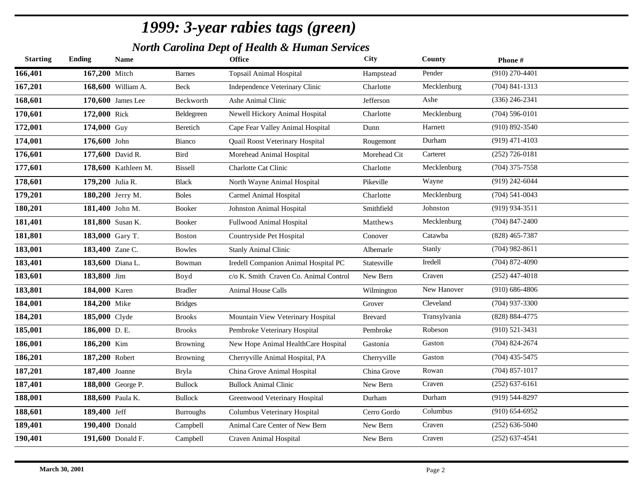*North Carolina Dept of Health & Human Services*

| <b>Starting</b> | <b>Ending</b>    | <b>Name</b>         |                 | <b>Office</b>                          | City           | County       | Phone#             |
|-----------------|------------------|---------------------|-----------------|----------------------------------------|----------------|--------------|--------------------|
| 166,401         | 167,200 Mitch    |                     | <b>Barnes</b>   | <b>Topsail Animal Hospital</b>         | Hampstead      | Pender       | $(910)$ 270-4401   |
| 167,201         |                  | 168,600 William A.  | Beck            | Independence Veterinary Clinic         | Charlotte      | Mecklenburg  | $(704)$ 841-1313   |
| 168,601         |                  | 170,600 James Lee   | Beckworth       | Ashe Animal Clinic                     | Jefferson      | Ashe         | $(336)$ 246-2341   |
| 170,601         | 172,000 Rick     |                     | Beldegreen      | Newell Hickory Animal Hospital         | Charlotte      | Mecklenburg  | $(704) 596 - 0101$ |
| 172,001         | 174,000 Guy      |                     | Beretich        | Cape Fear Valley Animal Hospital       | Dunn           | Harnett      | $(910) 892 - 3540$ |
| 174,001         | 176,600 John     |                     | Bianco          | Quail Roost Veterinary Hospital        | Rougemont      | Durham       | $(919)$ 471-4103   |
| 176,601         |                  | 177,600 David R.    | Bird            | Morehead Animal Hospital               | Morehead Cit   | Carteret     | $(252)$ 726-0181   |
| 177,601         |                  | 178,600 Kathleen M. | <b>Bissell</b>  | Charlotte Cat Clinic                   | Charlotte      | Mecklenburg  | $(704)$ 375-7558   |
| 178,601         | 179,200 Julia R. |                     | <b>Black</b>    | North Wayne Animal Hospital            | Pikeville      | Wayne        | $(919)$ 242-6044   |
| 179,201         |                  | 180,200 Jerry M.    | <b>Boles</b>    | Carmel Animal Hospital                 | Charlotte      | Mecklenburg  | $(704) 541 - 0043$ |
| 180,201         |                  | 181,400 John M.     | Booker          | Johnston Animal Hospital               | Smithfield     | Johnston     | $(919)$ 934-3511   |
| 181,401         |                  | 181,800 Susan K.    | Booker          | Fullwood Animal Hospital               | Matthews       | Mecklenburg  | $(704)$ 847-2400   |
| 181,801         |                  | 183,000 Gary T.     | <b>Boston</b>   | Countryside Pet Hospital               | Conover        | Catawba      | $(828)$ 465-7387   |
| 183,001         | 183,400 Zane C.  |                     | <b>Bowles</b>   | <b>Stanly Animal Clinic</b>            | Albemarle      | Stanly       | $(704)$ 982-8611   |
| 183,401         |                  | 183,600 Diana L.    | Bowman          | Iredell Companion Animal Hospital PC   | Statesville    | Iredell      | $(704)$ 872-4090   |
| 183,601         | 183,800 Jim      |                     | Boyd            | c/o K. Smith Craven Co. Animal Control | New Bern       | Craven       | $(252)$ 447-4018   |
| 183,801         | 184,000 Karen    |                     | <b>Bradler</b>  | <b>Animal House Calls</b>              | Wilmington     | New Hanover  | $(910) 686 - 4806$ |
| 184,001         | 184,200 Mike     |                     | <b>Bridges</b>  |                                        | Grover         | Cleveland    | $(704)$ 937-3300   |
| 184,201         | 185,000 Clyde    |                     | <b>Brooks</b>   | Mountain View Veterinary Hospital      | <b>Brevard</b> | Transylvania | (828) 884-4775     |
| 185,001         | 186,000 D.E.     |                     | <b>Brooks</b>   | Pembroke Veterinary Hospital           | Pembroke       | Robeson      | $(910) 521 - 3431$ |
| 186,001         | 186,200 Kim      |                     | <b>Browning</b> | New Hope Animal HealthCare Hospital    | Gastonia       | Gaston       | $(704)$ 824-2674   |
| 186,201         | 187,200 Robert   |                     | <b>Browning</b> | Cherryville Animal Hospital, PA        | Cherryville    | Gaston       | $(704)$ 435-5475   |
| 187,201         | 187,400 Joanne   |                     | <b>Bryla</b>    | China Grove Animal Hospital            | China Grove    | Rowan        | $(704)$ 857-1017   |
| 187,401         |                  | 188,000 George P.   | <b>Bullock</b>  | <b>Bullock Animal Clinic</b>           | New Bern       | Craven       | $(252)$ 637-6161   |
| 188,001         |                  | 188,600 Paula K.    | <b>Bullock</b>  | Greenwood Veterinary Hospital          | Durham         | Durham       | $(919) 544 - 8297$ |
| 188,601         | 189,400 Jeff     |                     | Burroughs       | Columbus Veterinary Hospital           | Cerro Gordo    | Columbus     | $(910) 654 - 6952$ |
| 189,401         | 190,400 Donald   |                     | Campbell        | Animal Care Center of New Bern         | New Bern       | Craven       | $(252)$ 636-5040   |
| 190,401         |                  | 191,600 Donald F.   | Campbell        | Craven Animal Hospital                 | New Bern       | Craven       | $(252) 637 - 4541$ |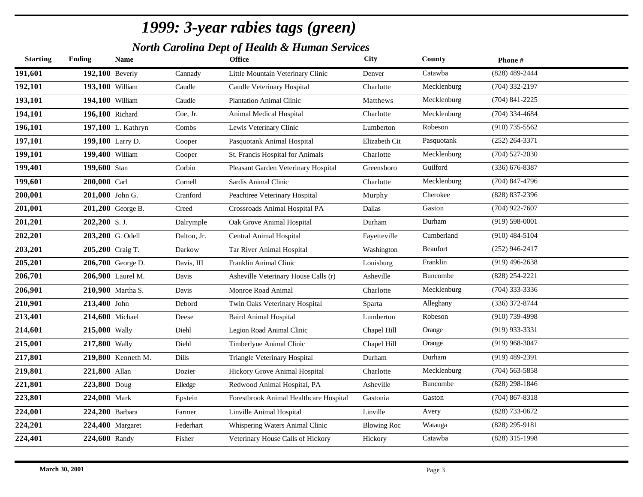*North Carolina Dept of Health & Human Services*

| <b>Starting</b> | <b>Ending</b>   | <b>Name</b>        |              | <b>Office</b>                          | City               | County      | Phone#             |
|-----------------|-----------------|--------------------|--------------|----------------------------------------|--------------------|-------------|--------------------|
| 191,601         | 192,100 Beverly |                    | Cannady      | Little Mountain Veterinary Clinic      | Denver             | Catawba     | (828) 489-2444     |
| 192,101         | 193,100 William |                    | Caudle       | Caudle Veterinary Hospital             | Charlotte          | Mecklenburg | $(704)$ 332-2197   |
| 193,101         | 194,100 William |                    | Caudle       | <b>Plantation Animal Clinic</b>        | Matthews           | Mecklenburg | $(704)$ 841-2225   |
| 194,101         | 196,100 Richard |                    | Coe, Jr.     | Animal Medical Hospital                | Charlotte          | Mecklenburg | (704) 334-4684     |
| 196,101         |                 | 197,100 L. Kathryn | Combs        | Lewis Veterinary Clinic                | Lumberton          | Robeson     | $(910)$ 735-5562   |
| 197,101         |                 | 199,100 Larry D.   | Cooper       | Pasquotank Animal Hospital             | Elizabeth Cit      | Pasquotank  | $(252)$ 264-3371   |
| 199,101         | 199,400 William |                    | Cooper       | St. Francis Hospital for Animals       | Charlotte          | Mecklenburg | $(704)$ 527-2030   |
| 199,401         | 199,600 Stan    |                    | Corbin       | Pleasant Garden Veterinary Hospital    | Greensboro         | Guilford    | $(336)$ 676-8387   |
| 199,601         | 200,000 Carl    |                    | Cornell      | Sardis Animal Clinic                   | Charlotte          | Mecklenburg | $(704)$ 847-4796   |
| 200,001         | 201,000 John G. |                    | Cranford     | Peachtree Veterinary Hospital          | Murphy             | Cherokee    | (828) 837-2396     |
| 201,001         |                 | 201,200 George B.  | Creed        | Crossroads Animal Hospital PA          | Dallas             | Gaston      | $(704)$ 922-7607   |
| 201,201         | 202,200 S.J.    |                    | Dalrymple    | Oak Grove Animal Hospital              | Durham             | Durham      | $(919) 598 - 0001$ |
| 202,201         |                 | 203,200 G. Odell   | Dalton, Jr.  | Central Animal Hospital                | Fayetteville       | Cumberland  | $(910)$ 484-5104   |
| 203,201         |                 | 205,200 Craig T.   | Darkow       | Tar River Animal Hospital              | Washington         | Beaufort    | $(252)$ 946-2417   |
| 205,201         |                 | 206,700 George D.  | Davis, III   | Franklin Animal Clinic                 | Louisburg          | Franklin    | $(919)$ 496-2638   |
| 206,701         |                 | 206,900 Laurel M.  | Davis        | Asheville Veterinary House Calls (r)   | Asheville          | Buncombe    | $(828)$ 254-2221   |
| 206,901         |                 | 210,900 Martha S.  | Davis        | Monroe Road Animal                     | Charlotte          | Mecklenburg | $(704)$ 333-3336   |
| 210,901         | 213,400 John    |                    | Debord       | Twin Oaks Veterinary Hospital          | Sparta             | Alleghany   | $(336)$ 372-8744   |
| 213,401         | 214,600 Michael |                    | Deese        | <b>Baird Animal Hospital</b>           | Lumberton          | Robeson     | $(910)$ 739-4998   |
| 214,601         | 215,000 Wally   |                    | Diehl        | Legion Road Animal Clinic              | Chapel Hill        | Orange      | $(919)$ 933-3331   |
| 215,001         | 217,800 Wally   |                    | Diehl        | Timberlyne Animal Clinic               | Chapel Hill        | Orange      | $(919)$ 968-3047   |
| 217,801         |                 | 219,800 Kenneth M. | <b>Dills</b> | Triangle Veterinary Hospital           | Durham             | Durham      | $(919)$ 489-2391   |
| 219,801         | 221,800 Allan   |                    | Dozier       | Hickory Grove Animal Hospital          | Charlotte          | Mecklenburg | $(704)$ 563-5858   |
| 221,801         | 223,800 Doug    |                    | Elledge      | Redwood Animal Hospital, PA            | Asheville          | Buncombe    | $(828)$ 298-1846   |
| 223,801         | 224,000 Mark    |                    | Epstein      | Forestbrook Animal Healthcare Hospital | Gastonia           | Gaston      | $(704)$ 867-8318   |
| 224,001         | 224,200 Barbara |                    | Farmer       | Linville Animal Hospital               | Linville           | Avery       | (828) 733-0672     |
| 224,201         |                 | 224,400 Margaret   | Federhart    | Whispering Waters Animal Clinic        | <b>Blowing Roc</b> | Watauga     | $(828) 295 - 9181$ |
| 224,401         | 224,600 Randy   |                    | Fisher       | Veterinary House Calls of Hickory      | Hickory            | Catawba     | $(828)$ 315-1998   |
|                 |                 |                    |              |                                        |                    |             |                    |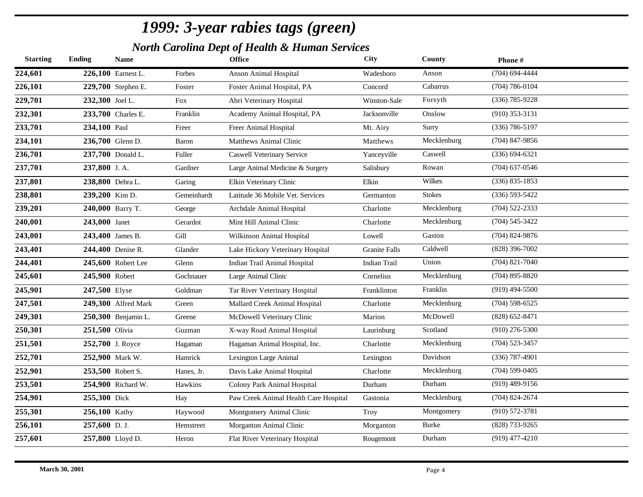*North Carolina Dept of Health & Human Services*

| <b>Starting</b> | <b>Ending</b>   | <b>Name</b>         |             | <b>Office</b>                         | City                 | County        | Phone#             |
|-----------------|-----------------|---------------------|-------------|---------------------------------------|----------------------|---------------|--------------------|
| 224,601         |                 | 226,100 Earnest L.  | Forbes      | Anson Animal Hospital                 | Wadesboro            | Anson         | $(704)$ 694-4444   |
| 226,101         |                 | 229,700 Stephen E.  | Foster      | Foster Animal Hospital, PA            | Concord              | Cabarrus      | $(704) 786 - 0104$ |
| 229,701         | 232,300 Joel L. |                     | <b>Fox</b>  | Abri Veterinary Hospital              | Winston-Sale         | Forsyth       | $(336)$ 785-9228   |
| 232,301         |                 | 233,700 Charles E.  | Franklin    | Academy Animal Hospital, PA           | Jacksonville         | Onslow        | $(910)$ 353-3131   |
| 233,701         | 234,100 Paul    |                     | Freer       | Freer Animal Hospital                 | Mt. Airy             | Surry         | $(336) 786 - 5197$ |
| 234,101         |                 | 236,700 Glenn D.    | Baron       | <b>Matthews Animal Clinic</b>         | Matthews             | Mecklenburg   | $(704)$ 847-9856   |
| 236,701         |                 | 237,700 Donald L.   | Fuller      | <b>Caswell Veterinary Service</b>     | Yanceyville          | Caswell       | $(336) 694 - 6321$ |
| 237,701         | 237,800 J.A.    |                     | Gardner     | Large Animal Medicine & Surgery       | Salisbury            | Rowan         | $(704)$ 637-0546   |
| 237,801         |                 | 238,800 Debra L.    | Garing      | Elkin Veterinary Clinic               | Elkin                | Wilkes        | $(336) 835 - 1853$ |
| 238,801         | 239,200 Kim D.  |                     | Gemeinhardt | Latitude 36 Mobile Vet. Services      | Germanton            | <b>Stokes</b> | $(336) 593 - 5422$ |
| 239,201         |                 | 240,000 Barry T.    | George      | Archdale Animal Hospital              | Charlotte            | Mecklenburg   | $(704)$ 522-2333   |
| 240,001         | 243,000 Janet   |                     | Gerardot    | Mint Hill Animal Clinic               | Charlotte            | Mecklenburg   | $(704) 545 - 3422$ |
| 243,001         |                 | 243,400 James B.    | Gill        | Wilkinson Animal Hospital             | Lowell               | Gaston        | $(704)$ 824-9876   |
| 243,401         |                 | 244,400 Denise R.   | Glander     | Lake Hickory Veterinary Hospital      | <b>Granite Falls</b> | Caldwell      | $(828)$ 396-7002   |
| 244,401         |                 | 245,600 Robert Lee  | Glenn       | Indian Trail Animal Hospital          | <b>Indian Trail</b>  | Union         | $(704)$ 821-7040   |
| 245,601         | 245,900 Robert  |                     | Gochnauer   | Large Animal Clinic                   | Cornelius            | Mecklenburg   | $(704)$ 895-8820   |
| 245,901         | 247,500 Elyse   |                     | Goldman     | Tar River Veterinary Hospital         | Franklinton          | Franklin      | $(919)$ 494-5500   |
| 247,501         |                 | 249,300 Alfred Mark | Green       | Mallard Creek Animal Hospital         | Charlotte            | Mecklenburg   | $(704)$ 598-6525   |
| 249,301         |                 | 250,300 Benjamin L. | Greene      | McDowell Veterinary Clinic            | Marion               | McDowell      | $(828)$ 652-8471   |
| 250,301         | 251,500 Olivia  |                     | Guzman      | X-way Road Animal Hospital            | Laurinburg           | Scotland      | $(910)$ 276-5300   |
| 251,501         |                 | 252,700 J. Royce    | Hagaman     | Hagaman Animal Hospital, Inc.         | Charlotte            | Mecklenburg   | $(704)$ 523-3457   |
| 252,701         |                 | 252,900 Mark W.     | Hamrick     | Lexington Large Animal                | Lexington            | Davidson      | $(336)$ 787-4901   |
| 252,901         |                 | 253,500 Robert S.   | Hanes, Jr.  | Davis Lake Animal Hospital            | Charlotte            | Mecklenburg   | $(704)$ 599-0405   |
| 253,501         |                 | 254,900 Richard W.  | Hawkins     | Colony Park Animal Hospital           | Durham               | Durham        | $(919)$ 489-9156   |
| 254,901         | 255,300 Dick    |                     | Hay         | Paw Creek Animal Health Care Hospital | Gastonia             | Mecklenburg   | $(704)$ 824-2674   |
| 255,301         | 256,100 Kathy   |                     | Haywood     | Montgomery Animal Clinic              | Troy                 | Montgomery    | $(910) 572 - 3781$ |
| 256,101         | 257,600 D.J.    |                     | Hemstreet   | Morganton Animal Clinic               | Morganton            | <b>Burke</b>  | (828) 733-9265     |
| 257,601         |                 | 257,800 Lloyd D.    | Heron       | Flat River Veterinary Hospital        | Rougemont            | Durham        | $(919)$ 477-4210   |
|                 |                 |                     |             |                                       |                      |               |                    |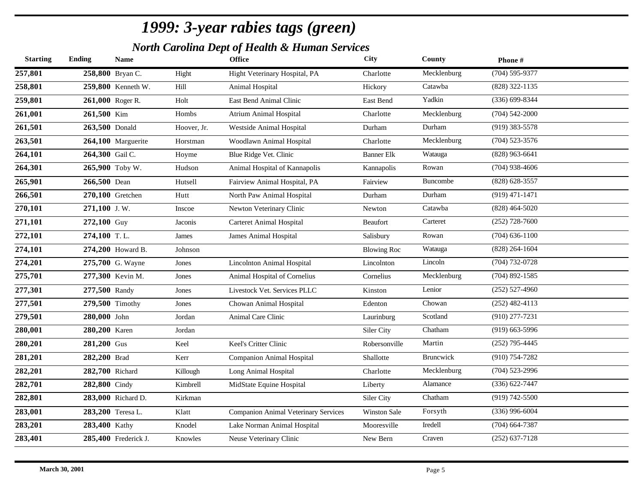*North Carolina Dept of Health & Human Services*

| <b>Starting</b> | <b>Ending</b>   | <b>Name</b>          |             | <b>Office</b>                               | <b>City</b>         | County      | Phone#             |
|-----------------|-----------------|----------------------|-------------|---------------------------------------------|---------------------|-------------|--------------------|
| 257,801         |                 | 258,800 Bryan C.     | Hight       | Hight Veterinary Hospital, PA               | Charlotte           | Mecklenburg | $(704)$ 595-9377   |
| 258,801         |                 | 259,800 Kenneth W.   | Hill        | Animal Hospital                             | Hickory             | Catawba     | (828) 322-1135     |
| 259,801         |                 | 261,000 Roger R.     | Holt        | East Bend Animal Clinic                     | East Bend           | Yadkin      | $(336) 699 - 8344$ |
| 261,001         | 261,500 Kim     |                      | Hombs       | <b>Atrium Animal Hospital</b>               | Charlotte           | Mecklenburg | $(704) 542 - 2000$ |
| 261,501         | 263,500 Donald  |                      | Hoover, Jr. | Westside Animal Hospital                    | Durham              | Durham      | $(919)$ 383-5578   |
| 263,501         |                 | 264,100 Marguerite   | Horstman    | Woodlawn Animal Hospital                    | Charlotte           | Mecklenburg | $(704)$ 523-3576   |
| 264,101         | 264,300 Gail C. |                      | Hoyme       | Blue Ridge Vet. Clinic                      | Banner Elk          | Watauga     | $(828)$ 963-6641   |
| 264,301         |                 | 265,900 Toby W.      | Hudson      | Animal Hospital of Kannapolis               | Kannapolis          | Rowan       | $(704)$ 938-4606   |
| 265,901         | 266,500 Dean    |                      | Hutsell     | Fairview Animal Hospital, PA                | Fairview            | Buncombe    | $(828)$ 628-3557   |
| 266,501         |                 | 270,100 Gretchen     | Hutt        | North Paw Animal Hospital                   | Durham              | Durham      | $(919)$ 471-1471   |
| 270,101         | 271,100 J.W.    |                      | Inscoe      | Newton Veterinary Clinic                    | Newton              | Catawba     | $(828)$ 464-5020   |
| 271,101         | 272,100 Guy     |                      | Jaconis     | <b>Carteret Animal Hospital</b>             | Beaufort            | Carteret    | $(252)$ 728-7600   |
| 272,101         | 274,100 T.L.    |                      | James       | James Animal Hospital                       | Salisbury           | Rowan       | $(704) 636 - 1100$ |
| 274,101         |                 | 274,200 Howard B.    | Johnson     |                                             | <b>Blowing Roc</b>  | Watauga     | $(828) 264 - 1604$ |
| 274,201         |                 | 275,700 G. Wayne     | Jones       | Lincolnton Animal Hospital                  | Lincolnton          | Lincoln     | $(704)$ 732-0728   |
| 275,701         |                 | 277,300 Kevin M.     | Jones       | Animal Hospital of Cornelius                | Cornelius           | Mecklenburg | $(704)$ 892-1585   |
| 277,301         | 277,500 Randy   |                      | Jones       | Livestock Vet. Services PLLC                | Kinston             | Lenior      | $(252)$ 527-4960   |
| 277,501         |                 | 279,500 Timothy      | Jones       | Chowan Animal Hospital                      | Edenton             | Chowan      | $(252)$ 482-4113   |
| 279,501         | 280,000 John    |                      | Jordan      | Animal Care Clinic                          | Laurinburg          | Scotland    | $(910)$ 277-7231   |
| 280,001         | 280,200 Karen   |                      | Jordan      |                                             | Siler City          | Chatham     | $(919)$ 663-5996   |
| 280,201         | 281,200 Gus     |                      | Keel        | Keel's Critter Clinic                       | Robersonville       | Martin      | $(252)$ 795-4445   |
| 281,201         | 282,200 Brad    |                      | Kerr        | <b>Companion Animal Hospital</b>            | Shallotte           | Bruncwick   | $(910) 754 - 7282$ |
| 282,201         | 282,700 Richard |                      | Killough    | Long Animal Hospital                        | Charlotte           | Mecklenburg | $(704)$ 523-2996   |
| 282,701         | 282,800 Cindy   |                      | Kimbrell    | MidState Equine Hospital                    | Liberty             | Alamance    | $(336) 622 - 7447$ |
| 282,801         |                 | 283,000 Richard D.   | Kirkman     |                                             | Siler City          | Chatham     | $(919) 742 - 5500$ |
| 283,001         |                 | 283,200 Teresa L.    | Klatt       | <b>Companion Animal Veterinary Services</b> | <b>Winston Sale</b> | Forsyth     | $(336)$ 996-6004   |
| 283,201         | 283,400 Kathy   |                      | Knodel      | Lake Norman Animal Hospital                 | Mooresville         | Iredell     | $(704)$ 664-7387   |
| 283,401         |                 | 285,400 Frederick J. | Knowles     | Neuse Veterinary Clinic                     | New Bern            | Craven      | $(252)$ 637-7128   |
|                 |                 |                      |             |                                             |                     |             |                    |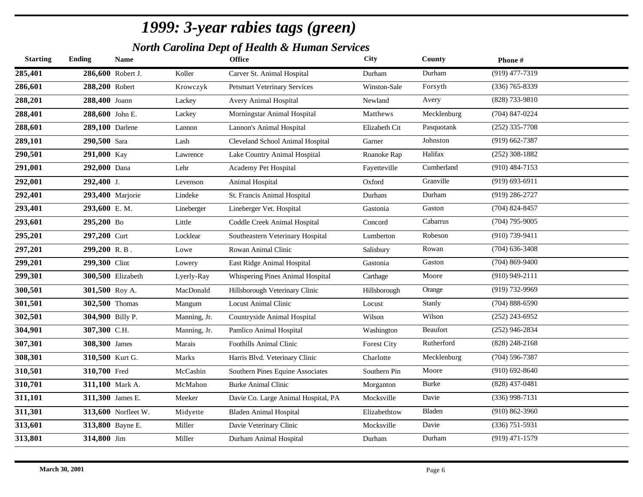*North Carolina Dept of Health & Human Services*

| <b>Starting</b> | <b>Ending</b>    | Name                     |              | <b>Office</b>                       | City               | County       | Phone#             |
|-----------------|------------------|--------------------------|--------------|-------------------------------------|--------------------|--------------|--------------------|
| 285,401         |                  | 286,600 Robert J.        | Koller       | Carver St. Animal Hospital          | Durham             | Durham       | $(919)$ 477-7319   |
| 286,601         | 288,200 Robert   |                          | Krowczyk     | <b>Petsmart Veterinary Services</b> | Winston-Sale       | Forsyth      | $(336)$ 765-8339   |
| 288,201         | 288,400 Joann    |                          | Lackey       | Avery Animal Hospital               | Newland            | Avery        | (828) 733-9810     |
| 288,401         | 288,600 John E.  |                          | Lackey       | Morningstar Animal Hospital         | Matthews           | Mecklenburg  | $(704)$ 847-0224   |
| 288,601         | 289,100 Darlene  |                          | Lannon       | Lannon's Animal Hospital            | Elizabeth Cit      | Pasquotank   | $(252)$ 335-7708   |
| 289,101         | 290,500 Sara     |                          | Lash         | Cleveland School Animal Hospital    | Garner             | Johnston     | $(919)$ 662-7387   |
| 290,501         | 291,000 Kay      |                          | Lawrence     | Lake Country Animal Hospital        | Roanoke Rap        | Halifax      | $(252)$ 308-1882   |
| 291,001         | 292,000 Dana     |                          | Lehr         | Academy Pet Hospital                | Fayetteville       | Cumberland   | $(910)$ 484-7153   |
| 292,001         | $292,400$ J.     |                          | Levenson     | Animal Hospital                     | Oxford             | Granville    | $(919) 693 - 6911$ |
| 292,401         |                  | 293,400 Marjorie         | Lindeke      | St. Francis Animal Hospital         | Durham             | Durham       | $(919)$ 286-2727   |
| 293,401         | 293,600 E.M.     |                          | Lineberger   | Lineberger Vet. Hospital            | Gastonia           | Gaston       | $(704)$ 824-8457   |
| 293,601         | 295,200 Bo       |                          | Little       | Coddle Creek Animal Hospital        | Concord            | Cabarrus     | $(704)$ 795-9005   |
| 295,201         | 297,200 Curt     |                          | Locklear     | Southeastern Veterinary Hospital    | Lumberton          | Robeson      | $(910)$ 739-9411   |
| 297,201         | $299,200$ R.B.   |                          | Lowe         | Rowan Animal Clinic                 | Salisbury          | Rowan        | $(704)$ 636-3408   |
| 299,201         | 299,300 Clint    |                          | Lowery       | East Ridge Animal Hospital          | Gastonia           | Gaston       | $(704)$ 869-9400   |
| 299,301         |                  | <b>300,500 Elizabeth</b> | Lyerly-Ray   | Whispering Pines Animal Hospital    | Carthage           | Moore        | $(910)$ 949-2111   |
| 300,501         | 301,500 Roy A.   |                          | MacDonald    | Hillsborough Veterinary Clinic      | Hillsborough       | Orange       | (919) 732-9969     |
| 301,501         | 302,500 Thomas   |                          | Mangum       | <b>Locust Animal Clinic</b>         | Locust             | Stanly       | $(704)$ 888-6590   |
| 302,501         | 304,900 Billy P. |                          | Manning, Jr. | Countryside Animal Hospital         | Wilson             | Wilson       | $(252)$ 243-6952   |
| 304,901         | 307,300 C.H.     |                          | Manning, Jr. | Pamlico Animal Hospital             | Washington         | Beaufort     | $(252)$ 946-2834   |
| 307,301         | 308,300 James    |                          | Marais       | Foothills Animal Clinic             | <b>Forest City</b> | Rutherford   | $(828)$ 248-2168   |
| 308,301         | 310,500 Kurt G.  |                          | Marks        | Harris Blvd. Veterinary Clinic      | Charlotte          | Mecklenburg  | $(704)$ 596-7387   |
| 310,501         | 310,700 Fred     |                          | McCashin     | Southern Pines Equine Associates    | Southern Pin       | Moore        | $(910)$ 692-8640   |
| 310,701         |                  | 311,100 Mark A.          | McMahon      | <b>Burke Animal Clinic</b>          | Morganton          | <b>Burke</b> | $(828)$ 437-0481   |
| 311,101         | 311,300 James E. |                          | Meeker       | Davie Co. Large Animal Hospital, PA | Mocksville         | Davie        | $(336)$ 998-7131   |
| 311,301         |                  | 313,600 Norfleet W.      | Midyette     | <b>Bladen Animal Hospital</b>       | Elizabethtow       | Bladen       | $(910) 862 - 3960$ |
| 313,601         |                  | 313,800 Bayne E.         | Miller       | Davie Veterinary Clinic             | Mocksville         | Davie        | $(336)$ 751-5931   |
| 313,801         | 314,800 Jim      |                          | Miller       | Durham Animal Hospital              | Durham             | Durham       | $(919)$ 471-1579   |
|                 |                  |                          |              |                                     |                    |              |                    |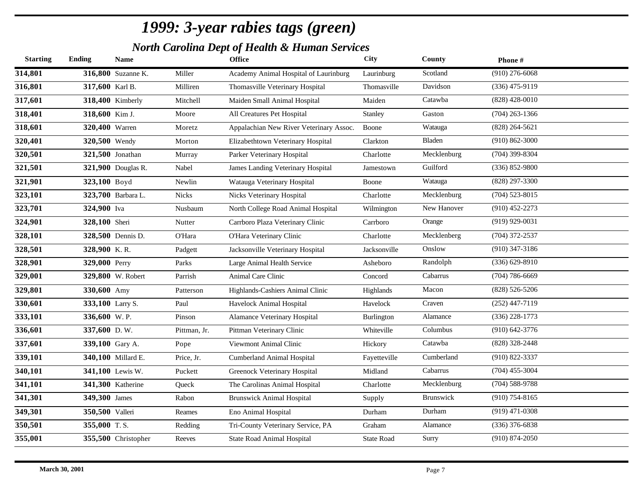*North Carolina Dept of Health & Human Services*

| <b>Starting</b> | <b>Ending</b>    | <b>Name</b>             |              | <b>Office</b>                           | <b>City</b>       | County      | Phone#             |
|-----------------|------------------|-------------------------|--------------|-----------------------------------------|-------------------|-------------|--------------------|
| 314,801         |                  | 316,800 Suzanne K.      | Miller       | Academy Animal Hospital of Laurinburg   | Laurinburg        | Scotland    | $(910)$ 276-6068   |
| 316,801         | 317,600 Karl B.  |                         | Milliren     | Thomasville Veterinary Hospital         | Thomasville       | Davidson    | $(336)$ 475-9119   |
| 317,601         |                  | 318,400 Kimberly        | Mitchell     | Maiden Small Animal Hospital            | Maiden            | Catawba     | $(828)$ 428-0010   |
| 318,401         | 318,600 Kim J.   |                         | Moore        | All Creatures Pet Hospital              | Stanley           | Gaston      | $(704)$ 263-1366   |
| 318,601         | 320,400 Warren   |                         | Moretz       | Appalachian New River Veterinary Assoc. | Boone             | Watauga     | $(828) 264 - 5621$ |
| 320,401         | 320,500 Wendy    |                         | Morton       | Elizabethtown Veterinary Hospital       | Clarkton          | Bladen      | $(910) 862 - 3000$ |
| 320,501         |                  | <b>321,500</b> Jonathan | Murray       | Parker Veterinary Hospital              | Charlotte         | Mecklenburg | $(704)$ 399-8304   |
| 321,501         |                  | 321,900 Douglas R.      | Nabel        | James Landing Veterinary Hospital       | Jamestown         | Guilford    | $(336) 852 - 9800$ |
| 321,901         | 323,100 Boyd     |                         | Newlin       | Watauga Veterinary Hospital             | Boone             | Watauga     | $(828)$ 297-3300   |
| 323,101         |                  | 323,700 Barbara L.      | <b>Nicks</b> | Nicks Veterinary Hospital               | Charlotte         | Mecklenburg | $(704)$ 523-8015   |
| 323,701         | 324,900 Iva      |                         | Nusbaum      | North College Road Animal Hospital      | Wilmington        | New Hanover | $(910)$ 452-2273   |
| 324,901         | 328,100 Sheri    |                         | Nutter       | Carrboro Plaza Veterinary Clinic        | Carrboro          | Orange      | $(919)$ 929-0031   |
| 328,101         |                  | 328,500 Dennis D.       | O'Hara       | O'Hara Veterinary Clinic                | Charlotte         | Mecklenberg | $(704)$ 372-2537   |
| 328,501         | 328,900 K.R.     |                         | Padgett      | Jacksonville Veterinary Hospital        | Jacksonville      | Onslow      | $(910)$ 347-3186   |
| 328,901         | 329,000 Perry    |                         | Parks        | Large Animal Health Service             | Asheboro          | Randolph    | $(336) 629 - 8910$ |
| 329,001         |                  | 329,800 W. Robert       | Parrish      | Animal Care Clinic                      | Concord           | Cabarrus    | $(704)$ 786-6669   |
| 329,801         | 330,600 Amy      |                         | Patterson    | Highlands-Cashiers Animal Clinic        | Highlands         | Macon       | $(828) 526 - 5206$ |
| 330,601         | 333,100 Larry S. |                         | Paul         | Havelock Animal Hospital                | Havelock          | Craven      | $(252)$ 447-7119   |
| 333,101         | 336,600 W.P.     |                         | Pinson       | Alamance Veterinary Hospital            | Burlington        | Alamance    | $(336)$ 228-1773   |
| 336,601         | 337,600 D.W.     |                         | Pittman, Jr. | Pittman Veterinary Clinic               | Whiteville        | Columbus    | $(910) 642 - 3776$ |
| 337,601         | 339,100 Gary A.  |                         | Pope         | Viewmont Animal Clinic                  | Hickory           | Catawba     | (828) 328-2448     |
| 339,101         |                  | 340,100 Millard E.      | Price, Jr.   | Cumberland Animal Hospital              | Fayetteville      | Cumberland  | $(910) 822 - 3337$ |
| 340,101         |                  | 341,100 Lewis W.        | Puckett      | Greenock Veterinary Hospital            | Midland           | Cabarrus    | $(704)$ 455-3004   |
| 341,101         |                  | 341,300 Katherine       | Queck        | The Carolinas Animal Hospital           | Charlotte         | Mecklenburg | $(704)$ 588-9788   |
| 341,301         | 349,300 James    |                         | Rabon        | <b>Brunswick Animal Hospital</b>        | Supply            | Brunswick   | $(910)$ 754-8165   |
| 349,301         | 350,500 Valleri  |                         | Reames       | Eno Animal Hospital                     | Durham            | Durham      | $(919)$ 471-0308   |
| 350,501         | 355,000 T.S.     |                         | Redding      | Tri-County Veterinary Service, PA       | Graham            | Alamance    | $(336)$ 376-6838   |
| 355,001         |                  | 355,500 Christopher     | Reeves       | <b>State Road Animal Hospital</b>       | <b>State Road</b> | Surry       | $(910) 874 - 2050$ |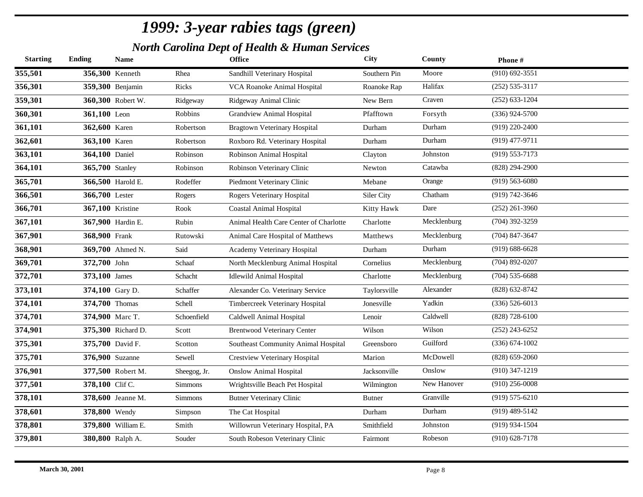*North Carolina Dept of Health & Human Services*

| <b>Starting</b> | <b>Ending</b>           | Name               |                | <b>Office</b>                          | <b>City</b>   | County      | Phone#             |
|-----------------|-------------------------|--------------------|----------------|----------------------------------------|---------------|-------------|--------------------|
| 355,501         | 356,300 Kenneth         |                    | Rhea           | Sandhill Veterinary Hospital           | Southern Pin  | Moore       | $(910) 692 - 3551$ |
| 356,301         |                         | 359,300 Benjamin   | Ricks          | VCA Roanoke Animal Hospital            | Roanoke Rap   | Halifax     | $(252) 535 - 3117$ |
| 359,301         |                         | 360,300 Robert W.  | Ridgeway       | Ridgeway Animal Clinic                 | New Bern      | Craven      | $(252)$ 633-1204   |
| 360,301         | 361,100 Leon            |                    | Robbins        | <b>Grandview Animal Hospital</b>       | Pfafftown     | Forsyth     | $(336)$ 924-5700   |
| 361,101         | 362,600 Karen           |                    | Robertson      | <b>Bragtown Veterinary Hospital</b>    | Durham        | Durham      | $(919)$ 220-2400   |
| 362,601         | 363,100 Karen           |                    | Robertson      | Roxboro Rd. Veterinary Hospital        | Durham        | Durham      | $(919)$ 477-9711   |
| 363,101         | 364,100 Daniel          |                    | Robinson       | Robinson Animal Hospital               | Clayton       | Johnston    | $(919)$ 553-7173   |
| 364,101         | 365,700 Stanley         |                    | Robinson       | Robinson Veterinary Clinic             | Newton        | Catawba     | $(828)$ 294-2900   |
| 365,701         |                         | 366,500 Harold E.  | Rodeffer       | Piedmont Veterinary Clinic             | Mebane        | Orange      | $(919) 563 - 6080$ |
| 366,501         | 366,700 Lester          |                    | Rogers         | Rogers Veterinary Hospital             | Siler City    | Chatham     | (919) 742-3646     |
| 366,701         | <b>367,100</b> Kristine |                    | Rook           | <b>Coastal Animal Hospital</b>         | Kitty Hawk    | Dare        | $(252)$ 261-3960   |
| 367,101         |                         | 367,900 Hardin E.  | Rubin          | Animal Health Care Center of Charlotte | Charlotte     | Mecklenburg | $(704)$ 392-3259   |
| 367,901         | 368,900 Frank           |                    | Rutowski       | Animal Care Hospital of Matthews       | Matthews      | Mecklenburg | $(704)$ 847-3647   |
| 368,901         |                         | 369,700 Ahmed N.   | Said           | Academy Veterinary Hospital            | Durham        | Durham      | $(919) 688 - 6628$ |
| 369,701         | 372,700 John            |                    | Schaaf         | North Mecklenburg Animal Hospital      | Cornelius     | Mecklenburg | $(704)$ 892-0207   |
| 372,701         | <b>373,100</b> James    |                    | Schacht        | <b>Idlewild Animal Hospital</b>        | Charlotte     | Mecklenburg | $(704)$ 535-6688   |
| 373,101         | 374,100 Gary D.         |                    | Schaffer       | Alexander Co. Veterinary Service       | Taylorsville  | Alexander   | (828) 632-8742     |
| 374,101         | 374,700 Thomas          |                    | Schell         | Timbercreek Veterinary Hospital        | Jonesville    | Yadkin      | $(336) 526 - 6013$ |
| 374,701         | 374,900 Marc T.         |                    | Schoenfield    | Caldwell Animal Hospital               | Lenoir        | Caldwell    | $(828)$ 728-6100   |
| 374,901         |                         | 375,300 Richard D. | Scott          | <b>Brentwood Veterinary Center</b>     | Wilson        | Wilson      | $(252)$ 243-6252   |
| 375,301         | 375,700 David F.        |                    | Scotton        | Southeast Community Animal Hospital    | Greensboro    | Guilford    | $(336) 674 - 1002$ |
| 375,701         | <b>376,900 Suzanne</b>  |                    | Sewell         | Crestview Veterinary Hospital          | Marion        | McDowell    | $(828) 659 - 2060$ |
| 376,901         |                         | 377,500 Robert M.  | Sheegog, Jr.   | <b>Onslow Animal Hospital</b>          | Jacksonville  | Onslow      | $(910)$ 347-1219   |
| 377,501         | 378,100 Clif C.         |                    | <b>Simmons</b> | Wrightsville Beach Pet Hospital        | Wilmington    | New Hanover | $(910)$ 256-0008   |
| 378,101         |                         | 378,600 Jeanne M.  | <b>Simmons</b> | <b>Butner Veterinary Clinic</b>        | <b>Butner</b> | Granville   | $(919) 575 - 6210$ |
| 378,601         | 378,800 Wendy           |                    | Simpson        | The Cat Hospital                       | Durham        | Durham      | $(919)$ 489-5142   |
| 378,801         |                         | 379,800 William E. | Smith          | Willowrun Veterinary Hospital, PA      | Smithfield    | Johnston    | $(919)$ 934-1504   |
| 379,801         |                         | 380,800 Ralph A.   | Souder         | South Robeson Veterinary Clinic        | Fairmont      | Robeson     | $(910)$ 628-7178   |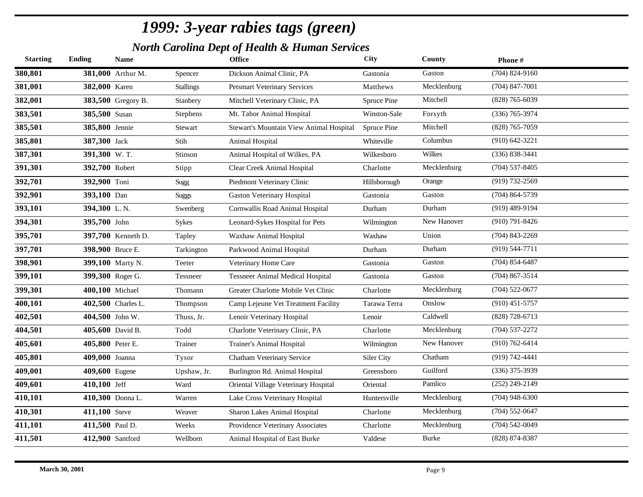*North Carolina Dept of Health & Human Services*

| <b>Starting</b> | <b>Ending</b>    | <b>Name</b>        |                  | <b>Office</b>                           | City         | County       | Phone#             |
|-----------------|------------------|--------------------|------------------|-----------------------------------------|--------------|--------------|--------------------|
| 380,801         |                  | 381,000 Arthur M.  | Spencer          | Dickson Animal Clinic, PA               | Gastonia     | Gaston       | $(704)$ 824-9160   |
| 381,001         | 382,000 Karen    |                    | <b>Stallings</b> | <b>Petsmart Veterinary Services</b>     | Matthews     | Mecklenburg  | $(704)$ 847-7001   |
| 382,001         |                  | 383,500 Gregory B. | Stanbery         | Mitchell Veterinary Clinic, PA          | Spruce Pine  | Mitchell     | $(828)$ 765-6039   |
| 383,501         | 385,500 Susan    |                    | Stephens         | Mt. Tabor Animal Hospital               | Winston-Sale | Forsyth      | $(336)$ 765-3974   |
| 385,501         | 385,800 Jennie   |                    | Stewart          | Stewart's Mountain View Animal Hospital | Spruce Pine  | Mitchell     | $(828)$ 765-7059   |
| 385,801         | 387,300 Jack     |                    | Stih             | Animal Hospital                         | Whiteville   | Columbus     | $(910) 642 - 3221$ |
| 387,301         | 391,300 W.T.     |                    | Stinson          | Animal Hospital of Wilkes, PA           | Wilkesboro   | Wilkes       | $(336) 838 - 3441$ |
| 391,301         | 392,700 Robert   |                    | Stipp            | Clear Creek Animal Hospital             | Charlotte    | Mecklenburg  | $(704)$ 537-8405   |
| 392,701         | 392,900 Toni     |                    | Sugg             | Piedmont Veterinary Clinic              | Hillsborough | Orange       | $(919) 732 - 2569$ |
| 392,901         | 393,100 Dan      |                    | <b>Suggs</b>     | <b>Gaston Veterinary Hospital</b>       | Gastonia     | Gaston       | $(704)$ 864-5739   |
| 393,101         | 394,300 L.N.     |                    | Swenberg         | Cornwallis Road Animal Hospital         | Durham       | Durham       | $(919)$ 489-9194   |
| 394,301         | 395,700 John     |                    | <b>Sykes</b>     | Leonard-Sykes Hospital for Pets         | Wilmington   | New Hanover  | $(910) 791 - 8426$ |
| 395,701         |                  | 397,700 Kenneth D. | Tapley           | Waxhaw Animal Hospital                  | Waxhaw       | Union        | $(704)$ 843-2269   |
| 397,701         | 398,900 Bruce E. |                    | Tarkington       | Parkwood Animal Hospital                | Durham       | Durham       | $(919) 544 - 7711$ |
| 398,901         |                  | 399,100 Marty N.   | Teeter           | Veterinary Home Care                    | Gastonia     | Gaston       | $(704)$ 854-6487   |
| 399,101         |                  | 399,300 Roger G.   | Tessneer         | <b>Tessneer Animal Medical Hospital</b> | Gastonia     | Gaston       | $(704)$ 867-3514   |
| 399,301         | 400,100 Michael  |                    | Thomann          | Greater Charlotte Mobile Vet Clinic     | Charlotte    | Mecklenburg  | $(704)$ 522-0677   |
| 400,101         |                  | 402,500 Charles L. | Thompson         | Camp Lejeune Vet Treatment Facility     | Tarawa Terra | Onslow       | $(910)$ 451-5757   |
| 402,501         |                  | 404,500 John W.    | Thuss, Jr.       | Lenoir Veterinary Hospital              | Lenoir       | Caldwell     | (828) 728-6713     |
| 404,501         |                  | 405,600 David B.   | Todd             | Charlotte Veterinary Clinic, PA         | Charlotte    | Mecklenburg  | $(704)$ 537-2272   |
| 405,601         | 405,800 Peter E. |                    | Trainer          | Trainer's Animal Hospital               | Wilmington   | New Hanover  | $(910) 762 - 6414$ |
| 405,801         | 409,000 Joanna   |                    | Tysor            | Chatham Veterinary Service              | Siler City   | Chatham      | $(919) 742 - 4441$ |
| 409,001         | 409,600 Eugene   |                    | Upshaw, Jr.      | Burlington Rd. Animal Hospital          | Greensboro   | Guilford     | $(336)$ 375-3939   |
| 409,601         | 410,100 Jeff     |                    | Ward             | Oriental Village Veterinary Hospital    | Oriental     | Pamlico      | $(252)$ 249-2149   |
| 410,101         |                  | 410,300 Donna L.   | Warren           | Lake Cross Veterinary Hospital          | Huntersville | Mecklenburg  | $(704)$ 948-6300   |
| 410,301         | 411,100 Steve    |                    | Weaver           | Sharon Lakes Animal Hospital            | Charlotte    | Mecklenburg  | $(704) 552 - 0647$ |
| 411,101         | 411,500 Paul D.  |                    | Weeks            | Providence Veterinary Associates        | Charlotte    | Mecklenburg  | $(704)$ 542-0049   |
| 411,501         |                  | 412,900 Santford   | Wellborn         | Animal Hospital of East Burke           | Valdese      | <b>Burke</b> | (828) 874-8387     |
|                 |                  |                    |                  |                                         |              |              |                    |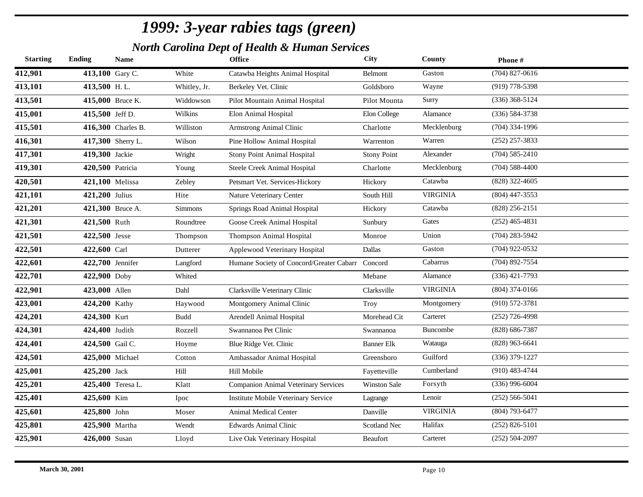*North Carolina Dept of Health & Human Services*

| $(704)$ 827-0616<br>412,901<br>413,100 Gary C.<br>White<br>Gaston<br>Catawba Heights Animal Hospital<br>Belmont<br>413,101<br>Wayne<br>$(919)$ 778-5398<br>413,500 H.L.<br>Goldsboro<br>Whitley, Jr.<br>Berkeley Vet. Clinic<br>413,501<br>$(336)$ 368-5124<br>415,000 Bruce K.<br>Widdowson<br>Pilot Mountain Animal Hospital<br>Pilot Mounta<br>Surry<br>415,001<br>Wilkins<br>Elon Animal Hospital<br>Elon College<br>$(336) 584 - 3738$<br>415,500 Jeff D.<br>Alamance<br>415,501<br>Mecklenburg<br>$(704)$ 334-1996<br>416,300 Charles B.<br>Williston<br>Armstrong Animal Clinic<br>Charlotte<br>416,301<br>Warren<br>$(252)$ 257-3833<br>417,300 Sherry L.<br>Pine Hollow Animal Hospital<br>Wilson<br>Warrenton<br>417,301<br>Alexander<br>$(704) 585 - 2410$<br>419,300 Jackie<br><b>Stony Point Animal Hospital</b><br><b>Stony Point</b><br>Wright<br>419,301<br>$(704)$ 588-4400<br>420,500 Patricia<br>Mecklenburg<br>Steele Creek Animal Hospital<br>Charlotte<br>Young<br>420,501<br>Catawba<br>$(828)$ 322-4605<br>421,100 Melissa<br>Zebley<br>Petsmart Vet. Services-Hickory<br>Hickory<br>421,101<br><b>VIRGINIA</b><br>$(804)$ 447-3553<br>421,200 Julius<br>Nature Veterinary Center<br>South Hill<br>Hite<br>421,201<br>Catawba<br>$(828)$ 256-2151<br>421,300 Bruce A.<br>Simmons<br>Springs Road Animal Hospital<br>Hickory<br>421,301<br>Gates<br>$(252)$ 465-4831<br>421,500 Ruth<br>Goose Creek Animal Hospital<br>Roundtree<br>Sunbury<br>421,501<br>Union<br>$(704)$ 283-5942<br>422,500 Jesse<br><b>Thompson Animal Hospital</b><br>Thompson<br>Monroe<br>422,501<br>$(704)$ 922-0532<br>Gaston<br>422,600 Carl<br>Applewood Veterinary Hospital<br>Dallas<br>Dutterer<br>422,601<br>Cabarrus<br>$(704)$ 892-7554<br>422,700 Jennifer<br>Langford<br>Humane Society of Concord/Greater Cabarr<br>Concord<br>422,701<br>$(336)$ 421-7793<br>Alamance<br>422,900 Doby<br>Whited<br>Mebane<br>422,901<br><b>VIRGINIA</b><br>$(804)$ 374-0166<br>423,000 Allen<br>Clarksville Veterinary Clinic<br>Clarksville<br>Dahl<br>423,001<br>$(910) 572 - 3781$<br>424,200 Kathy<br>Montgomery Animal Clinic<br>Montgomery<br>Haywood<br>Troy<br>424,201<br>Carteret<br>$(252)$ 726-4998<br>424,300 Kurt<br>Morehead Cit<br><b>Budd</b><br>Arendell Animal Hospital<br>424,301<br>$(828) 686 - 7387$<br>424,400 Judith<br>Swannanoa Pet Clinic<br>Buncombe<br>Rozzell<br>Swannanoa<br>424,401<br>$(828)$ 963-6641<br>424,500 Gail C.<br>Watauga<br>Blue Ridge Vet. Clinic<br>Banner Elk<br>Hoyme<br>424,501<br>Guilford<br>$(336)$ 379-1227<br>425,000 Michael<br>Ambassador Animal Hospital<br>Greensboro<br>Cotton<br>425,001<br>Cumberland<br>$(910)$ 483-4744<br>425,200 Jack<br>Hill<br>Hill Mobile<br>Fayetteville<br>425,201<br>Forsyth<br>$(336)$ 996-6004<br>425,400 Teresa L.<br><b>Companion Animal Veterinary Services</b><br><b>Winston Sale</b><br>Klatt<br>425,401<br>425,600 Kim<br>Lenoir<br>$(252) 566 - 5041$<br>Institute Mobile Veterinary Service<br>Lagrange<br>Ipoc<br>425,601<br><b>VIRGINIA</b><br>$(804)$ 793-6477<br>425,800 John<br>Animal Medical Center<br>Danville<br>Moser<br>425,801<br>Halifax<br>$(252)$ 826-5101<br>425,900 Martha<br>Wendt<br><b>Edwards Animal Clinic</b><br>Scotland Nec<br>425,901<br>$(252) 504 - 2097$<br>426,000 Susan<br>Carteret<br>Live Oak Veterinary Hospital<br>Beaufort<br>Lloyd | <b>Starting</b> | <b>Ending</b> | <b>Name</b> | <b>Office</b> | City | County | Phone# |
|-----------------------------------------------------------------------------------------------------------------------------------------------------------------------------------------------------------------------------------------------------------------------------------------------------------------------------------------------------------------------------------------------------------------------------------------------------------------------------------------------------------------------------------------------------------------------------------------------------------------------------------------------------------------------------------------------------------------------------------------------------------------------------------------------------------------------------------------------------------------------------------------------------------------------------------------------------------------------------------------------------------------------------------------------------------------------------------------------------------------------------------------------------------------------------------------------------------------------------------------------------------------------------------------------------------------------------------------------------------------------------------------------------------------------------------------------------------------------------------------------------------------------------------------------------------------------------------------------------------------------------------------------------------------------------------------------------------------------------------------------------------------------------------------------------------------------------------------------------------------------------------------------------------------------------------------------------------------------------------------------------------------------------------------------------------------------------------------------------------------------------------------------------------------------------------------------------------------------------------------------------------------------------------------------------------------------------------------------------------------------------------------------------------------------------------------------------------------------------------------------------------------------------------------------------------------------------------------------------------------------------------------------------------------------------------------------------------------------------------------------------------------------------------------------------------------------------------------------------------------------------------------------------------------------------------------------------------------------------------------------------------------------------------------------------------------------------------------------------------------------------------------------------------------------------------------------------------------------------------------------------------------------------------------------------------------------------------------------------------------------|-----------------|---------------|-------------|---------------|------|--------|--------|
|                                                                                                                                                                                                                                                                                                                                                                                                                                                                                                                                                                                                                                                                                                                                                                                                                                                                                                                                                                                                                                                                                                                                                                                                                                                                                                                                                                                                                                                                                                                                                                                                                                                                                                                                                                                                                                                                                                                                                                                                                                                                                                                                                                                                                                                                                                                                                                                                                                                                                                                                                                                                                                                                                                                                                                                                                                                                                                                                                                                                                                                                                                                                                                                                                                                                                                                                                                       |                 |               |             |               |      |        |        |
|                                                                                                                                                                                                                                                                                                                                                                                                                                                                                                                                                                                                                                                                                                                                                                                                                                                                                                                                                                                                                                                                                                                                                                                                                                                                                                                                                                                                                                                                                                                                                                                                                                                                                                                                                                                                                                                                                                                                                                                                                                                                                                                                                                                                                                                                                                                                                                                                                                                                                                                                                                                                                                                                                                                                                                                                                                                                                                                                                                                                                                                                                                                                                                                                                                                                                                                                                                       |                 |               |             |               |      |        |        |
|                                                                                                                                                                                                                                                                                                                                                                                                                                                                                                                                                                                                                                                                                                                                                                                                                                                                                                                                                                                                                                                                                                                                                                                                                                                                                                                                                                                                                                                                                                                                                                                                                                                                                                                                                                                                                                                                                                                                                                                                                                                                                                                                                                                                                                                                                                                                                                                                                                                                                                                                                                                                                                                                                                                                                                                                                                                                                                                                                                                                                                                                                                                                                                                                                                                                                                                                                                       |                 |               |             |               |      |        |        |
|                                                                                                                                                                                                                                                                                                                                                                                                                                                                                                                                                                                                                                                                                                                                                                                                                                                                                                                                                                                                                                                                                                                                                                                                                                                                                                                                                                                                                                                                                                                                                                                                                                                                                                                                                                                                                                                                                                                                                                                                                                                                                                                                                                                                                                                                                                                                                                                                                                                                                                                                                                                                                                                                                                                                                                                                                                                                                                                                                                                                                                                                                                                                                                                                                                                                                                                                                                       |                 |               |             |               |      |        |        |
|                                                                                                                                                                                                                                                                                                                                                                                                                                                                                                                                                                                                                                                                                                                                                                                                                                                                                                                                                                                                                                                                                                                                                                                                                                                                                                                                                                                                                                                                                                                                                                                                                                                                                                                                                                                                                                                                                                                                                                                                                                                                                                                                                                                                                                                                                                                                                                                                                                                                                                                                                                                                                                                                                                                                                                                                                                                                                                                                                                                                                                                                                                                                                                                                                                                                                                                                                                       |                 |               |             |               |      |        |        |
|                                                                                                                                                                                                                                                                                                                                                                                                                                                                                                                                                                                                                                                                                                                                                                                                                                                                                                                                                                                                                                                                                                                                                                                                                                                                                                                                                                                                                                                                                                                                                                                                                                                                                                                                                                                                                                                                                                                                                                                                                                                                                                                                                                                                                                                                                                                                                                                                                                                                                                                                                                                                                                                                                                                                                                                                                                                                                                                                                                                                                                                                                                                                                                                                                                                                                                                                                                       |                 |               |             |               |      |        |        |
|                                                                                                                                                                                                                                                                                                                                                                                                                                                                                                                                                                                                                                                                                                                                                                                                                                                                                                                                                                                                                                                                                                                                                                                                                                                                                                                                                                                                                                                                                                                                                                                                                                                                                                                                                                                                                                                                                                                                                                                                                                                                                                                                                                                                                                                                                                                                                                                                                                                                                                                                                                                                                                                                                                                                                                                                                                                                                                                                                                                                                                                                                                                                                                                                                                                                                                                                                                       |                 |               |             |               |      |        |        |
|                                                                                                                                                                                                                                                                                                                                                                                                                                                                                                                                                                                                                                                                                                                                                                                                                                                                                                                                                                                                                                                                                                                                                                                                                                                                                                                                                                                                                                                                                                                                                                                                                                                                                                                                                                                                                                                                                                                                                                                                                                                                                                                                                                                                                                                                                                                                                                                                                                                                                                                                                                                                                                                                                                                                                                                                                                                                                                                                                                                                                                                                                                                                                                                                                                                                                                                                                                       |                 |               |             |               |      |        |        |
|                                                                                                                                                                                                                                                                                                                                                                                                                                                                                                                                                                                                                                                                                                                                                                                                                                                                                                                                                                                                                                                                                                                                                                                                                                                                                                                                                                                                                                                                                                                                                                                                                                                                                                                                                                                                                                                                                                                                                                                                                                                                                                                                                                                                                                                                                                                                                                                                                                                                                                                                                                                                                                                                                                                                                                                                                                                                                                                                                                                                                                                                                                                                                                                                                                                                                                                                                                       |                 |               |             |               |      |        |        |
|                                                                                                                                                                                                                                                                                                                                                                                                                                                                                                                                                                                                                                                                                                                                                                                                                                                                                                                                                                                                                                                                                                                                                                                                                                                                                                                                                                                                                                                                                                                                                                                                                                                                                                                                                                                                                                                                                                                                                                                                                                                                                                                                                                                                                                                                                                                                                                                                                                                                                                                                                                                                                                                                                                                                                                                                                                                                                                                                                                                                                                                                                                                                                                                                                                                                                                                                                                       |                 |               |             |               |      |        |        |
|                                                                                                                                                                                                                                                                                                                                                                                                                                                                                                                                                                                                                                                                                                                                                                                                                                                                                                                                                                                                                                                                                                                                                                                                                                                                                                                                                                                                                                                                                                                                                                                                                                                                                                                                                                                                                                                                                                                                                                                                                                                                                                                                                                                                                                                                                                                                                                                                                                                                                                                                                                                                                                                                                                                                                                                                                                                                                                                                                                                                                                                                                                                                                                                                                                                                                                                                                                       |                 |               |             |               |      |        |        |
|                                                                                                                                                                                                                                                                                                                                                                                                                                                                                                                                                                                                                                                                                                                                                                                                                                                                                                                                                                                                                                                                                                                                                                                                                                                                                                                                                                                                                                                                                                                                                                                                                                                                                                                                                                                                                                                                                                                                                                                                                                                                                                                                                                                                                                                                                                                                                                                                                                                                                                                                                                                                                                                                                                                                                                                                                                                                                                                                                                                                                                                                                                                                                                                                                                                                                                                                                                       |                 |               |             |               |      |        |        |
|                                                                                                                                                                                                                                                                                                                                                                                                                                                                                                                                                                                                                                                                                                                                                                                                                                                                                                                                                                                                                                                                                                                                                                                                                                                                                                                                                                                                                                                                                                                                                                                                                                                                                                                                                                                                                                                                                                                                                                                                                                                                                                                                                                                                                                                                                                                                                                                                                                                                                                                                                                                                                                                                                                                                                                                                                                                                                                                                                                                                                                                                                                                                                                                                                                                                                                                                                                       |                 |               |             |               |      |        |        |
|                                                                                                                                                                                                                                                                                                                                                                                                                                                                                                                                                                                                                                                                                                                                                                                                                                                                                                                                                                                                                                                                                                                                                                                                                                                                                                                                                                                                                                                                                                                                                                                                                                                                                                                                                                                                                                                                                                                                                                                                                                                                                                                                                                                                                                                                                                                                                                                                                                                                                                                                                                                                                                                                                                                                                                                                                                                                                                                                                                                                                                                                                                                                                                                                                                                                                                                                                                       |                 |               |             |               |      |        |        |
|                                                                                                                                                                                                                                                                                                                                                                                                                                                                                                                                                                                                                                                                                                                                                                                                                                                                                                                                                                                                                                                                                                                                                                                                                                                                                                                                                                                                                                                                                                                                                                                                                                                                                                                                                                                                                                                                                                                                                                                                                                                                                                                                                                                                                                                                                                                                                                                                                                                                                                                                                                                                                                                                                                                                                                                                                                                                                                                                                                                                                                                                                                                                                                                                                                                                                                                                                                       |                 |               |             |               |      |        |        |
|                                                                                                                                                                                                                                                                                                                                                                                                                                                                                                                                                                                                                                                                                                                                                                                                                                                                                                                                                                                                                                                                                                                                                                                                                                                                                                                                                                                                                                                                                                                                                                                                                                                                                                                                                                                                                                                                                                                                                                                                                                                                                                                                                                                                                                                                                                                                                                                                                                                                                                                                                                                                                                                                                                                                                                                                                                                                                                                                                                                                                                                                                                                                                                                                                                                                                                                                                                       |                 |               |             |               |      |        |        |
|                                                                                                                                                                                                                                                                                                                                                                                                                                                                                                                                                                                                                                                                                                                                                                                                                                                                                                                                                                                                                                                                                                                                                                                                                                                                                                                                                                                                                                                                                                                                                                                                                                                                                                                                                                                                                                                                                                                                                                                                                                                                                                                                                                                                                                                                                                                                                                                                                                                                                                                                                                                                                                                                                                                                                                                                                                                                                                                                                                                                                                                                                                                                                                                                                                                                                                                                                                       |                 |               |             |               |      |        |        |
|                                                                                                                                                                                                                                                                                                                                                                                                                                                                                                                                                                                                                                                                                                                                                                                                                                                                                                                                                                                                                                                                                                                                                                                                                                                                                                                                                                                                                                                                                                                                                                                                                                                                                                                                                                                                                                                                                                                                                                                                                                                                                                                                                                                                                                                                                                                                                                                                                                                                                                                                                                                                                                                                                                                                                                                                                                                                                                                                                                                                                                                                                                                                                                                                                                                                                                                                                                       |                 |               |             |               |      |        |        |
|                                                                                                                                                                                                                                                                                                                                                                                                                                                                                                                                                                                                                                                                                                                                                                                                                                                                                                                                                                                                                                                                                                                                                                                                                                                                                                                                                                                                                                                                                                                                                                                                                                                                                                                                                                                                                                                                                                                                                                                                                                                                                                                                                                                                                                                                                                                                                                                                                                                                                                                                                                                                                                                                                                                                                                                                                                                                                                                                                                                                                                                                                                                                                                                                                                                                                                                                                                       |                 |               |             |               |      |        |        |
|                                                                                                                                                                                                                                                                                                                                                                                                                                                                                                                                                                                                                                                                                                                                                                                                                                                                                                                                                                                                                                                                                                                                                                                                                                                                                                                                                                                                                                                                                                                                                                                                                                                                                                                                                                                                                                                                                                                                                                                                                                                                                                                                                                                                                                                                                                                                                                                                                                                                                                                                                                                                                                                                                                                                                                                                                                                                                                                                                                                                                                                                                                                                                                                                                                                                                                                                                                       |                 |               |             |               |      |        |        |
|                                                                                                                                                                                                                                                                                                                                                                                                                                                                                                                                                                                                                                                                                                                                                                                                                                                                                                                                                                                                                                                                                                                                                                                                                                                                                                                                                                                                                                                                                                                                                                                                                                                                                                                                                                                                                                                                                                                                                                                                                                                                                                                                                                                                                                                                                                                                                                                                                                                                                                                                                                                                                                                                                                                                                                                                                                                                                                                                                                                                                                                                                                                                                                                                                                                                                                                                                                       |                 |               |             |               |      |        |        |
|                                                                                                                                                                                                                                                                                                                                                                                                                                                                                                                                                                                                                                                                                                                                                                                                                                                                                                                                                                                                                                                                                                                                                                                                                                                                                                                                                                                                                                                                                                                                                                                                                                                                                                                                                                                                                                                                                                                                                                                                                                                                                                                                                                                                                                                                                                                                                                                                                                                                                                                                                                                                                                                                                                                                                                                                                                                                                                                                                                                                                                                                                                                                                                                                                                                                                                                                                                       |                 |               |             |               |      |        |        |
|                                                                                                                                                                                                                                                                                                                                                                                                                                                                                                                                                                                                                                                                                                                                                                                                                                                                                                                                                                                                                                                                                                                                                                                                                                                                                                                                                                                                                                                                                                                                                                                                                                                                                                                                                                                                                                                                                                                                                                                                                                                                                                                                                                                                                                                                                                                                                                                                                                                                                                                                                                                                                                                                                                                                                                                                                                                                                                                                                                                                                                                                                                                                                                                                                                                                                                                                                                       |                 |               |             |               |      |        |        |
|                                                                                                                                                                                                                                                                                                                                                                                                                                                                                                                                                                                                                                                                                                                                                                                                                                                                                                                                                                                                                                                                                                                                                                                                                                                                                                                                                                                                                                                                                                                                                                                                                                                                                                                                                                                                                                                                                                                                                                                                                                                                                                                                                                                                                                                                                                                                                                                                                                                                                                                                                                                                                                                                                                                                                                                                                                                                                                                                                                                                                                                                                                                                                                                                                                                                                                                                                                       |                 |               |             |               |      |        |        |
|                                                                                                                                                                                                                                                                                                                                                                                                                                                                                                                                                                                                                                                                                                                                                                                                                                                                                                                                                                                                                                                                                                                                                                                                                                                                                                                                                                                                                                                                                                                                                                                                                                                                                                                                                                                                                                                                                                                                                                                                                                                                                                                                                                                                                                                                                                                                                                                                                                                                                                                                                                                                                                                                                                                                                                                                                                                                                                                                                                                                                                                                                                                                                                                                                                                                                                                                                                       |                 |               |             |               |      |        |        |
|                                                                                                                                                                                                                                                                                                                                                                                                                                                                                                                                                                                                                                                                                                                                                                                                                                                                                                                                                                                                                                                                                                                                                                                                                                                                                                                                                                                                                                                                                                                                                                                                                                                                                                                                                                                                                                                                                                                                                                                                                                                                                                                                                                                                                                                                                                                                                                                                                                                                                                                                                                                                                                                                                                                                                                                                                                                                                                                                                                                                                                                                                                                                                                                                                                                                                                                                                                       |                 |               |             |               |      |        |        |
|                                                                                                                                                                                                                                                                                                                                                                                                                                                                                                                                                                                                                                                                                                                                                                                                                                                                                                                                                                                                                                                                                                                                                                                                                                                                                                                                                                                                                                                                                                                                                                                                                                                                                                                                                                                                                                                                                                                                                                                                                                                                                                                                                                                                                                                                                                                                                                                                                                                                                                                                                                                                                                                                                                                                                                                                                                                                                                                                                                                                                                                                                                                                                                                                                                                                                                                                                                       |                 |               |             |               |      |        |        |
|                                                                                                                                                                                                                                                                                                                                                                                                                                                                                                                                                                                                                                                                                                                                                                                                                                                                                                                                                                                                                                                                                                                                                                                                                                                                                                                                                                                                                                                                                                                                                                                                                                                                                                                                                                                                                                                                                                                                                                                                                                                                                                                                                                                                                                                                                                                                                                                                                                                                                                                                                                                                                                                                                                                                                                                                                                                                                                                                                                                                                                                                                                                                                                                                                                                                                                                                                                       |                 |               |             |               |      |        |        |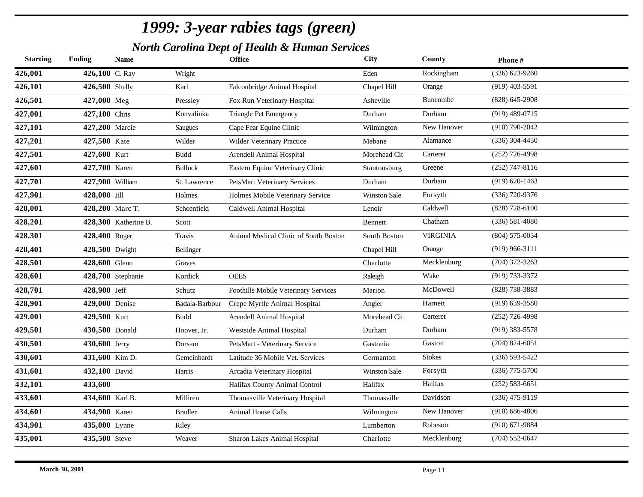*North Carolina Dept of Health & Human Services*

| Rockingham<br>$(336) 623 - 9260$<br>426,100 C. Ray<br>Wright<br>Eden<br>$(919)$ 403-5591<br>426,500 Shelly<br>Karl<br>Falconbridge Animal Hospital<br>Chapel Hill<br>Orange<br>Buncombe<br>$(828)$ 645-2908<br>427,000 Meg<br>Fox Run Veterinary Hospital<br>Asheville<br>Pressley<br>Konvalinka<br><b>Triangle Pet Emergency</b><br>Durham<br>Durham<br>$(919)$ 489-0715<br>427,100 Chris<br>New Hanover<br>$(910) 790 - 2042$<br>427,200 Marcie<br>Cape Fear Equine Clinic<br>Wilmington<br><b>Saugues</b><br>Alamance<br>$(336)$ 304-4450<br>427,500 Kate<br>Wilder<br>Wilder Veterinary Practice<br>Mebane<br>Carteret<br>$(252)$ 726-4998<br>427,600 Kurt<br>Arendell Animal Hospital<br>Morehead Cit<br>Budd<br>$(252)$ 747-8116<br>427,700 Karen<br>Eastern Equine Veterinary Clinic<br>Greene<br><b>Bulluck</b><br>Stantonsburg<br>Durham<br>$(919) 620 - 1463$<br>427,900 William<br>PetsMart Veterinary Services<br>Durham<br>St. Lawrence<br>(336) 720-9376<br>428,000 Jill<br>Forsyth<br>Holmes<br>Holmes Mobile Veterinary Service<br><b>Winston Sale</b><br>Caldwell<br>$(828)$ 728-6100<br>428,200 Marc T.<br>Schoenfield<br>Caldwell Animal Hospital<br>Lenoir<br>Chatham<br>$(336) 581 - 4080$<br>428,300 Katherine B.<br>Scott<br>Bennett<br><b>VIRGINIA</b><br>$(804)$ 575-0034<br>428,400 Roger<br>Animal Medical Clinic of South Boston<br>South Boston<br>Travis<br>$(919)$ 966-3111<br>428,500 Dwight<br>Chapel Hill<br>Orange<br>Bellinger<br>Mecklenburg<br>$(704)$ 372-3263<br>428,600 Glenn<br>Charlotte<br>Graves<br>Wake<br>(919) 733-3372<br>428,700 Stephanie<br>Kordick<br><b>OEES</b><br>Raleigh<br>McDowell<br>(828) 738-3883<br>428,900 Jeff<br>Schutz<br>Foothills Mobile Veterinary Services<br>Marion<br>$(919) 639 - 3580$<br>Harnett<br>429,000 Denise<br>Badala-Barbour<br>Crepe Myrtle Animal Hospital<br>Angier<br>Carteret<br>$(252)$ 726-4998<br>429,500 Kurt<br><b>Budd</b><br>Arendell Animal Hospital<br>Morehead Cit<br>Durham<br>$(919)$ 383-5578<br>430,500 Donald<br>Hoover, Jr.<br>Westside Animal Hospital<br>Durham<br>$(704)$ 824-6051<br>Gaston<br>430,600 Jerry<br>PetsMart - Veterinary Service<br>Dorsam<br>Gastonia<br><b>Stokes</b><br>$(336) 593 - 5422$<br>431,600 Kim D.<br>Gemeinhardt<br>Latitude 36 Mobile Vet. Services<br>Germanton<br>$(336)$ 775-5700<br>432,100 David<br>Forsyth<br>Harris<br>Arcadia Veterinary Hospital<br><b>Winston Sale</b><br>Halifax<br>$(252) 583 - 6651$<br>433,600<br>Halifax County Animal Control<br>Halifax<br>Davidson<br>$(336)$ 475-9119<br>434,600 Karl B.<br>Milliren<br>Thomasville Veterinary Hospital<br>Thomasville<br>$(910) 686 - 4806$<br>New Hanover<br>434,900 Karen<br><b>Bradler</b><br>Animal House Calls<br>Wilmington<br>Robeson<br>$(910)$ 671-9884<br>435,000 Lynne<br>Riley<br>Lumberton<br>$(704)$ 552-0647<br>435,500 Steve<br>Mecklenburg<br>Sharon Lakes Animal Hospital<br>Charlotte<br>Weaver | <b>Starting</b> | <b>Ending</b> | <b>Name</b> | <b>Office</b> | <b>City</b> | County | Phone# |
|---------------------------------------------------------------------------------------------------------------------------------------------------------------------------------------------------------------------------------------------------------------------------------------------------------------------------------------------------------------------------------------------------------------------------------------------------------------------------------------------------------------------------------------------------------------------------------------------------------------------------------------------------------------------------------------------------------------------------------------------------------------------------------------------------------------------------------------------------------------------------------------------------------------------------------------------------------------------------------------------------------------------------------------------------------------------------------------------------------------------------------------------------------------------------------------------------------------------------------------------------------------------------------------------------------------------------------------------------------------------------------------------------------------------------------------------------------------------------------------------------------------------------------------------------------------------------------------------------------------------------------------------------------------------------------------------------------------------------------------------------------------------------------------------------------------------------------------------------------------------------------------------------------------------------------------------------------------------------------------------------------------------------------------------------------------------------------------------------------------------------------------------------------------------------------------------------------------------------------------------------------------------------------------------------------------------------------------------------------------------------------------------------------------------------------------------------------------------------------------------------------------------------------------------------------------------------------------------------------------------------------------------------------------------------------------------------------------------------------------------------------------------------------------------------------------------------------------------------------------------------------------------------------------------------------|-----------------|---------------|-------------|---------------|-------------|--------|--------|
|                                                                                                                                                                                                                                                                                                                                                                                                                                                                                                                                                                                                                                                                                                                                                                                                                                                                                                                                                                                                                                                                                                                                                                                                                                                                                                                                                                                                                                                                                                                                                                                                                                                                                                                                                                                                                                                                                                                                                                                                                                                                                                                                                                                                                                                                                                                                                                                                                                                                                                                                                                                                                                                                                                                                                                                                                                                                                                                                 | 426,001         |               |             |               |             |        |        |
|                                                                                                                                                                                                                                                                                                                                                                                                                                                                                                                                                                                                                                                                                                                                                                                                                                                                                                                                                                                                                                                                                                                                                                                                                                                                                                                                                                                                                                                                                                                                                                                                                                                                                                                                                                                                                                                                                                                                                                                                                                                                                                                                                                                                                                                                                                                                                                                                                                                                                                                                                                                                                                                                                                                                                                                                                                                                                                                                 | 426,101         |               |             |               |             |        |        |
|                                                                                                                                                                                                                                                                                                                                                                                                                                                                                                                                                                                                                                                                                                                                                                                                                                                                                                                                                                                                                                                                                                                                                                                                                                                                                                                                                                                                                                                                                                                                                                                                                                                                                                                                                                                                                                                                                                                                                                                                                                                                                                                                                                                                                                                                                                                                                                                                                                                                                                                                                                                                                                                                                                                                                                                                                                                                                                                                 | 426,501         |               |             |               |             |        |        |
|                                                                                                                                                                                                                                                                                                                                                                                                                                                                                                                                                                                                                                                                                                                                                                                                                                                                                                                                                                                                                                                                                                                                                                                                                                                                                                                                                                                                                                                                                                                                                                                                                                                                                                                                                                                                                                                                                                                                                                                                                                                                                                                                                                                                                                                                                                                                                                                                                                                                                                                                                                                                                                                                                                                                                                                                                                                                                                                                 | 427,001         |               |             |               |             |        |        |
|                                                                                                                                                                                                                                                                                                                                                                                                                                                                                                                                                                                                                                                                                                                                                                                                                                                                                                                                                                                                                                                                                                                                                                                                                                                                                                                                                                                                                                                                                                                                                                                                                                                                                                                                                                                                                                                                                                                                                                                                                                                                                                                                                                                                                                                                                                                                                                                                                                                                                                                                                                                                                                                                                                                                                                                                                                                                                                                                 | 427,101         |               |             |               |             |        |        |
|                                                                                                                                                                                                                                                                                                                                                                                                                                                                                                                                                                                                                                                                                                                                                                                                                                                                                                                                                                                                                                                                                                                                                                                                                                                                                                                                                                                                                                                                                                                                                                                                                                                                                                                                                                                                                                                                                                                                                                                                                                                                                                                                                                                                                                                                                                                                                                                                                                                                                                                                                                                                                                                                                                                                                                                                                                                                                                                                 | 427,201         |               |             |               |             |        |        |
|                                                                                                                                                                                                                                                                                                                                                                                                                                                                                                                                                                                                                                                                                                                                                                                                                                                                                                                                                                                                                                                                                                                                                                                                                                                                                                                                                                                                                                                                                                                                                                                                                                                                                                                                                                                                                                                                                                                                                                                                                                                                                                                                                                                                                                                                                                                                                                                                                                                                                                                                                                                                                                                                                                                                                                                                                                                                                                                                 | 427,501         |               |             |               |             |        |        |
|                                                                                                                                                                                                                                                                                                                                                                                                                                                                                                                                                                                                                                                                                                                                                                                                                                                                                                                                                                                                                                                                                                                                                                                                                                                                                                                                                                                                                                                                                                                                                                                                                                                                                                                                                                                                                                                                                                                                                                                                                                                                                                                                                                                                                                                                                                                                                                                                                                                                                                                                                                                                                                                                                                                                                                                                                                                                                                                                 | 427,601         |               |             |               |             |        |        |
|                                                                                                                                                                                                                                                                                                                                                                                                                                                                                                                                                                                                                                                                                                                                                                                                                                                                                                                                                                                                                                                                                                                                                                                                                                                                                                                                                                                                                                                                                                                                                                                                                                                                                                                                                                                                                                                                                                                                                                                                                                                                                                                                                                                                                                                                                                                                                                                                                                                                                                                                                                                                                                                                                                                                                                                                                                                                                                                                 | 427,701         |               |             |               |             |        |        |
|                                                                                                                                                                                                                                                                                                                                                                                                                                                                                                                                                                                                                                                                                                                                                                                                                                                                                                                                                                                                                                                                                                                                                                                                                                                                                                                                                                                                                                                                                                                                                                                                                                                                                                                                                                                                                                                                                                                                                                                                                                                                                                                                                                                                                                                                                                                                                                                                                                                                                                                                                                                                                                                                                                                                                                                                                                                                                                                                 | 427,901         |               |             |               |             |        |        |
|                                                                                                                                                                                                                                                                                                                                                                                                                                                                                                                                                                                                                                                                                                                                                                                                                                                                                                                                                                                                                                                                                                                                                                                                                                                                                                                                                                                                                                                                                                                                                                                                                                                                                                                                                                                                                                                                                                                                                                                                                                                                                                                                                                                                                                                                                                                                                                                                                                                                                                                                                                                                                                                                                                                                                                                                                                                                                                                                 | 428,001         |               |             |               |             |        |        |
|                                                                                                                                                                                                                                                                                                                                                                                                                                                                                                                                                                                                                                                                                                                                                                                                                                                                                                                                                                                                                                                                                                                                                                                                                                                                                                                                                                                                                                                                                                                                                                                                                                                                                                                                                                                                                                                                                                                                                                                                                                                                                                                                                                                                                                                                                                                                                                                                                                                                                                                                                                                                                                                                                                                                                                                                                                                                                                                                 | 428,201         |               |             |               |             |        |        |
|                                                                                                                                                                                                                                                                                                                                                                                                                                                                                                                                                                                                                                                                                                                                                                                                                                                                                                                                                                                                                                                                                                                                                                                                                                                                                                                                                                                                                                                                                                                                                                                                                                                                                                                                                                                                                                                                                                                                                                                                                                                                                                                                                                                                                                                                                                                                                                                                                                                                                                                                                                                                                                                                                                                                                                                                                                                                                                                                 | 428,301         |               |             |               |             |        |        |
|                                                                                                                                                                                                                                                                                                                                                                                                                                                                                                                                                                                                                                                                                                                                                                                                                                                                                                                                                                                                                                                                                                                                                                                                                                                                                                                                                                                                                                                                                                                                                                                                                                                                                                                                                                                                                                                                                                                                                                                                                                                                                                                                                                                                                                                                                                                                                                                                                                                                                                                                                                                                                                                                                                                                                                                                                                                                                                                                 | 428,401         |               |             |               |             |        |        |
|                                                                                                                                                                                                                                                                                                                                                                                                                                                                                                                                                                                                                                                                                                                                                                                                                                                                                                                                                                                                                                                                                                                                                                                                                                                                                                                                                                                                                                                                                                                                                                                                                                                                                                                                                                                                                                                                                                                                                                                                                                                                                                                                                                                                                                                                                                                                                                                                                                                                                                                                                                                                                                                                                                                                                                                                                                                                                                                                 | 428,501         |               |             |               |             |        |        |
|                                                                                                                                                                                                                                                                                                                                                                                                                                                                                                                                                                                                                                                                                                                                                                                                                                                                                                                                                                                                                                                                                                                                                                                                                                                                                                                                                                                                                                                                                                                                                                                                                                                                                                                                                                                                                                                                                                                                                                                                                                                                                                                                                                                                                                                                                                                                                                                                                                                                                                                                                                                                                                                                                                                                                                                                                                                                                                                                 | 428,601         |               |             |               |             |        |        |
|                                                                                                                                                                                                                                                                                                                                                                                                                                                                                                                                                                                                                                                                                                                                                                                                                                                                                                                                                                                                                                                                                                                                                                                                                                                                                                                                                                                                                                                                                                                                                                                                                                                                                                                                                                                                                                                                                                                                                                                                                                                                                                                                                                                                                                                                                                                                                                                                                                                                                                                                                                                                                                                                                                                                                                                                                                                                                                                                 | 428,701         |               |             |               |             |        |        |
|                                                                                                                                                                                                                                                                                                                                                                                                                                                                                                                                                                                                                                                                                                                                                                                                                                                                                                                                                                                                                                                                                                                                                                                                                                                                                                                                                                                                                                                                                                                                                                                                                                                                                                                                                                                                                                                                                                                                                                                                                                                                                                                                                                                                                                                                                                                                                                                                                                                                                                                                                                                                                                                                                                                                                                                                                                                                                                                                 | 428,901         |               |             |               |             |        |        |
|                                                                                                                                                                                                                                                                                                                                                                                                                                                                                                                                                                                                                                                                                                                                                                                                                                                                                                                                                                                                                                                                                                                                                                                                                                                                                                                                                                                                                                                                                                                                                                                                                                                                                                                                                                                                                                                                                                                                                                                                                                                                                                                                                                                                                                                                                                                                                                                                                                                                                                                                                                                                                                                                                                                                                                                                                                                                                                                                 | 429,001         |               |             |               |             |        |        |
|                                                                                                                                                                                                                                                                                                                                                                                                                                                                                                                                                                                                                                                                                                                                                                                                                                                                                                                                                                                                                                                                                                                                                                                                                                                                                                                                                                                                                                                                                                                                                                                                                                                                                                                                                                                                                                                                                                                                                                                                                                                                                                                                                                                                                                                                                                                                                                                                                                                                                                                                                                                                                                                                                                                                                                                                                                                                                                                                 | 429,501         |               |             |               |             |        |        |
|                                                                                                                                                                                                                                                                                                                                                                                                                                                                                                                                                                                                                                                                                                                                                                                                                                                                                                                                                                                                                                                                                                                                                                                                                                                                                                                                                                                                                                                                                                                                                                                                                                                                                                                                                                                                                                                                                                                                                                                                                                                                                                                                                                                                                                                                                                                                                                                                                                                                                                                                                                                                                                                                                                                                                                                                                                                                                                                                 | 430,501         |               |             |               |             |        |        |
|                                                                                                                                                                                                                                                                                                                                                                                                                                                                                                                                                                                                                                                                                                                                                                                                                                                                                                                                                                                                                                                                                                                                                                                                                                                                                                                                                                                                                                                                                                                                                                                                                                                                                                                                                                                                                                                                                                                                                                                                                                                                                                                                                                                                                                                                                                                                                                                                                                                                                                                                                                                                                                                                                                                                                                                                                                                                                                                                 | 430,601         |               |             |               |             |        |        |
|                                                                                                                                                                                                                                                                                                                                                                                                                                                                                                                                                                                                                                                                                                                                                                                                                                                                                                                                                                                                                                                                                                                                                                                                                                                                                                                                                                                                                                                                                                                                                                                                                                                                                                                                                                                                                                                                                                                                                                                                                                                                                                                                                                                                                                                                                                                                                                                                                                                                                                                                                                                                                                                                                                                                                                                                                                                                                                                                 | 431,601         |               |             |               |             |        |        |
|                                                                                                                                                                                                                                                                                                                                                                                                                                                                                                                                                                                                                                                                                                                                                                                                                                                                                                                                                                                                                                                                                                                                                                                                                                                                                                                                                                                                                                                                                                                                                                                                                                                                                                                                                                                                                                                                                                                                                                                                                                                                                                                                                                                                                                                                                                                                                                                                                                                                                                                                                                                                                                                                                                                                                                                                                                                                                                                                 | 432,101         |               |             |               |             |        |        |
|                                                                                                                                                                                                                                                                                                                                                                                                                                                                                                                                                                                                                                                                                                                                                                                                                                                                                                                                                                                                                                                                                                                                                                                                                                                                                                                                                                                                                                                                                                                                                                                                                                                                                                                                                                                                                                                                                                                                                                                                                                                                                                                                                                                                                                                                                                                                                                                                                                                                                                                                                                                                                                                                                                                                                                                                                                                                                                                                 | 433,601         |               |             |               |             |        |        |
|                                                                                                                                                                                                                                                                                                                                                                                                                                                                                                                                                                                                                                                                                                                                                                                                                                                                                                                                                                                                                                                                                                                                                                                                                                                                                                                                                                                                                                                                                                                                                                                                                                                                                                                                                                                                                                                                                                                                                                                                                                                                                                                                                                                                                                                                                                                                                                                                                                                                                                                                                                                                                                                                                                                                                                                                                                                                                                                                 | 434,601         |               |             |               |             |        |        |
|                                                                                                                                                                                                                                                                                                                                                                                                                                                                                                                                                                                                                                                                                                                                                                                                                                                                                                                                                                                                                                                                                                                                                                                                                                                                                                                                                                                                                                                                                                                                                                                                                                                                                                                                                                                                                                                                                                                                                                                                                                                                                                                                                                                                                                                                                                                                                                                                                                                                                                                                                                                                                                                                                                                                                                                                                                                                                                                                 | 434,901         |               |             |               |             |        |        |
|                                                                                                                                                                                                                                                                                                                                                                                                                                                                                                                                                                                                                                                                                                                                                                                                                                                                                                                                                                                                                                                                                                                                                                                                                                                                                                                                                                                                                                                                                                                                                                                                                                                                                                                                                                                                                                                                                                                                                                                                                                                                                                                                                                                                                                                                                                                                                                                                                                                                                                                                                                                                                                                                                                                                                                                                                                                                                                                                 | 435,001         |               |             |               |             |        |        |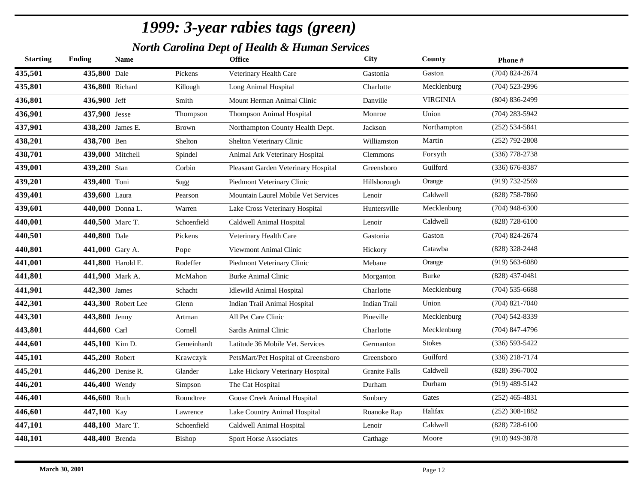*North Carolina Dept of Health & Human Services*

| $(704)$ 824-2674<br>435,501<br>435,800 Dale<br>Gaston<br>Pickens<br>Veterinary Health Care<br>Gastonia<br>435,801<br>Mecklenburg<br>436,800 Richard<br>$(704)$ 523-2996<br>Charlotte<br>Killough<br>Long Animal Hospital<br><b>VIRGINIA</b><br>$(804) 836 - 2499$<br>436,801<br>436,900 Jeff<br>Smith<br>Mount Herman Animal Clinic<br>Danville<br>436,901<br>Thompson Animal Hospital<br>Union<br>$(704)$ 283-5942<br>437,900 Jesse<br>Thompson<br>Monroe<br>437,901<br>$(252) 534 - 5841$<br>Northampton<br>438,200 James E.<br>Northampton County Health Dept.<br>Jackson<br>Brown<br>438,201<br>Martin<br>$(252)$ 792-2808<br>438,700 Ben<br>Shelton Veterinary Clinic<br>Williamston<br>Shelton<br>438,701<br>$(336)$ 778-2738<br>439,000 Mitchell<br>Forsyth<br>Animal Ark Veterinary Hospital<br><b>Clemmons</b><br>Spindel<br>439,001<br>Guilford<br>439,200 Stan<br>$(336)$ 676-8387<br>Pleasant Garden Veterinary Hospital<br>Corbin<br>Greensboro<br>439,201<br>$(919) 732 - 2569$<br>439,400 Toni<br>Piedmont Veterinary Clinic<br>Orange<br>Sugg<br>Hillsborough<br>439,401<br>Caldwell<br>$(828)$ 758-7860<br>439,600 Laura<br>Mountain Laurel Mobile Vet Services<br>Lenoir<br>Pearson<br>439,601<br>Mecklenburg<br>$(704)$ 948-6300<br>440,000 Donna L.<br>Warren<br>Lake Cross Veterinary Hospital<br>Huntersville<br>Caldwell<br>$(828)$ 728-6100<br>440,001<br>440,500 Marc T.<br>Schoenfield<br>Caldwell Animal Hospital<br>Lenoir<br>440,501<br>$(704)$ 824-2674<br>440,800 Dale<br>Gaston<br>Pickens<br>Veterinary Health Care<br>Gastonia<br>(828) 328-2448<br>440,801<br>Catawba<br>441,000 Gary A.<br>Viewmont Animal Clinic<br>Pope<br>Hickory<br>441,001<br>$(919) 563 - 6080$<br>441,800 Harold E.<br>Rodeffer<br>Piedmont Veterinary Clinic<br>Mebane<br>Orange<br>441,801<br>$(828)$ 437-0481<br>Burke<br><b>441,900</b> Mark A.<br>McMahon<br><b>Burke Animal Clinic</b><br>Morganton<br>441,901<br>Mecklenburg<br>$(704)$ 535-6688<br>442,300 James<br>Charlotte<br>Schacht<br><b>Idlewild Animal Hospital</b><br>442,301<br>$(704)$ 821-7040<br>443,300 Robert Lee<br>Union<br>Indian Trail Animal Hospital<br><b>Indian Trail</b><br>Glenn<br>443,301<br>$(704)$ 542-8339<br>Mecklenburg<br>443,800 Jenny<br>All Pet Care Clinic<br>Pineville<br>Artman<br>443,801<br>$(704)$ 847-4796<br>444,600 Carl<br>Mecklenburg<br>Sardis Animal Clinic<br>Charlotte<br>Cornell<br>444,601<br><b>Stokes</b><br>$(336) 593 - 5422$<br>445,100 Kim D.<br>Gemeinhardt<br>Latitude 36 Mobile Vet. Services<br>Germanton<br>Guilford<br>$(336)$ 218-7174<br>445,101<br>445,200 Robert<br>Krawczyk<br>PetsMart/Pet Hospital of Greensboro<br>Greensboro<br>Caldwell<br>$(828)$ 396-7002<br>445,201<br>446,200 Denise R.<br>Glander<br>Lake Hickory Veterinary Hospital<br>Granite Falls<br>446,201<br>Durham<br>$(919)$ 489-5142<br>446,400 Wendy<br>The Cat Hospital<br>Durham<br>Simpson<br>446,401<br>Gates<br>$(252)$ 465-4831<br>446,600 Ruth<br>Roundtree<br>Goose Creek Animal Hospital<br>Sunbury<br>Halifax<br>$(252)$ 308-1882<br>446,601<br>447,100 Kay<br>Lake Country Animal Hospital<br>Lawrence<br>Roanoke Rap<br>447,101<br>Caldwell<br>$(828)$ 728-6100<br>448,100 Marc T.<br>Schoenfield<br>Caldwell Animal Hospital<br>Lenoir<br>448,101<br>Moore<br>$(910)$ 949-3878<br>448,400 Brenda<br>Carthage<br>Bishop<br>Sport Horse Associates | <b>Starting</b> | <b>Ending</b> | <b>Name</b> | <b>Office</b> | City | County | Phone# |
|------------------------------------------------------------------------------------------------------------------------------------------------------------------------------------------------------------------------------------------------------------------------------------------------------------------------------------------------------------------------------------------------------------------------------------------------------------------------------------------------------------------------------------------------------------------------------------------------------------------------------------------------------------------------------------------------------------------------------------------------------------------------------------------------------------------------------------------------------------------------------------------------------------------------------------------------------------------------------------------------------------------------------------------------------------------------------------------------------------------------------------------------------------------------------------------------------------------------------------------------------------------------------------------------------------------------------------------------------------------------------------------------------------------------------------------------------------------------------------------------------------------------------------------------------------------------------------------------------------------------------------------------------------------------------------------------------------------------------------------------------------------------------------------------------------------------------------------------------------------------------------------------------------------------------------------------------------------------------------------------------------------------------------------------------------------------------------------------------------------------------------------------------------------------------------------------------------------------------------------------------------------------------------------------------------------------------------------------------------------------------------------------------------------------------------------------------------------------------------------------------------------------------------------------------------------------------------------------------------------------------------------------------------------------------------------------------------------------------------------------------------------------------------------------------------------------------------------------------------------------------------------------------------------------------------------------------------------------------------------------------------------------------------------------------------------------------------------------------------------------------------------------------------------------------------------------------------------------------------------------------------------------------------------------------------------------------------------------------------------------------|-----------------|---------------|-------------|---------------|------|--------|--------|
|                                                                                                                                                                                                                                                                                                                                                                                                                                                                                                                                                                                                                                                                                                                                                                                                                                                                                                                                                                                                                                                                                                                                                                                                                                                                                                                                                                                                                                                                                                                                                                                                                                                                                                                                                                                                                                                                                                                                                                                                                                                                                                                                                                                                                                                                                                                                                                                                                                                                                                                                                                                                                                                                                                                                                                                                                                                                                                                                                                                                                                                                                                                                                                                                                                                                                                                                                                              |                 |               |             |               |      |        |        |
|                                                                                                                                                                                                                                                                                                                                                                                                                                                                                                                                                                                                                                                                                                                                                                                                                                                                                                                                                                                                                                                                                                                                                                                                                                                                                                                                                                                                                                                                                                                                                                                                                                                                                                                                                                                                                                                                                                                                                                                                                                                                                                                                                                                                                                                                                                                                                                                                                                                                                                                                                                                                                                                                                                                                                                                                                                                                                                                                                                                                                                                                                                                                                                                                                                                                                                                                                                              |                 |               |             |               |      |        |        |
|                                                                                                                                                                                                                                                                                                                                                                                                                                                                                                                                                                                                                                                                                                                                                                                                                                                                                                                                                                                                                                                                                                                                                                                                                                                                                                                                                                                                                                                                                                                                                                                                                                                                                                                                                                                                                                                                                                                                                                                                                                                                                                                                                                                                                                                                                                                                                                                                                                                                                                                                                                                                                                                                                                                                                                                                                                                                                                                                                                                                                                                                                                                                                                                                                                                                                                                                                                              |                 |               |             |               |      |        |        |
|                                                                                                                                                                                                                                                                                                                                                                                                                                                                                                                                                                                                                                                                                                                                                                                                                                                                                                                                                                                                                                                                                                                                                                                                                                                                                                                                                                                                                                                                                                                                                                                                                                                                                                                                                                                                                                                                                                                                                                                                                                                                                                                                                                                                                                                                                                                                                                                                                                                                                                                                                                                                                                                                                                                                                                                                                                                                                                                                                                                                                                                                                                                                                                                                                                                                                                                                                                              |                 |               |             |               |      |        |        |
|                                                                                                                                                                                                                                                                                                                                                                                                                                                                                                                                                                                                                                                                                                                                                                                                                                                                                                                                                                                                                                                                                                                                                                                                                                                                                                                                                                                                                                                                                                                                                                                                                                                                                                                                                                                                                                                                                                                                                                                                                                                                                                                                                                                                                                                                                                                                                                                                                                                                                                                                                                                                                                                                                                                                                                                                                                                                                                                                                                                                                                                                                                                                                                                                                                                                                                                                                                              |                 |               |             |               |      |        |        |
|                                                                                                                                                                                                                                                                                                                                                                                                                                                                                                                                                                                                                                                                                                                                                                                                                                                                                                                                                                                                                                                                                                                                                                                                                                                                                                                                                                                                                                                                                                                                                                                                                                                                                                                                                                                                                                                                                                                                                                                                                                                                                                                                                                                                                                                                                                                                                                                                                                                                                                                                                                                                                                                                                                                                                                                                                                                                                                                                                                                                                                                                                                                                                                                                                                                                                                                                                                              |                 |               |             |               |      |        |        |
|                                                                                                                                                                                                                                                                                                                                                                                                                                                                                                                                                                                                                                                                                                                                                                                                                                                                                                                                                                                                                                                                                                                                                                                                                                                                                                                                                                                                                                                                                                                                                                                                                                                                                                                                                                                                                                                                                                                                                                                                                                                                                                                                                                                                                                                                                                                                                                                                                                                                                                                                                                                                                                                                                                                                                                                                                                                                                                                                                                                                                                                                                                                                                                                                                                                                                                                                                                              |                 |               |             |               |      |        |        |
|                                                                                                                                                                                                                                                                                                                                                                                                                                                                                                                                                                                                                                                                                                                                                                                                                                                                                                                                                                                                                                                                                                                                                                                                                                                                                                                                                                                                                                                                                                                                                                                                                                                                                                                                                                                                                                                                                                                                                                                                                                                                                                                                                                                                                                                                                                                                                                                                                                                                                                                                                                                                                                                                                                                                                                                                                                                                                                                                                                                                                                                                                                                                                                                                                                                                                                                                                                              |                 |               |             |               |      |        |        |
|                                                                                                                                                                                                                                                                                                                                                                                                                                                                                                                                                                                                                                                                                                                                                                                                                                                                                                                                                                                                                                                                                                                                                                                                                                                                                                                                                                                                                                                                                                                                                                                                                                                                                                                                                                                                                                                                                                                                                                                                                                                                                                                                                                                                                                                                                                                                                                                                                                                                                                                                                                                                                                                                                                                                                                                                                                                                                                                                                                                                                                                                                                                                                                                                                                                                                                                                                                              |                 |               |             |               |      |        |        |
|                                                                                                                                                                                                                                                                                                                                                                                                                                                                                                                                                                                                                                                                                                                                                                                                                                                                                                                                                                                                                                                                                                                                                                                                                                                                                                                                                                                                                                                                                                                                                                                                                                                                                                                                                                                                                                                                                                                                                                                                                                                                                                                                                                                                                                                                                                                                                                                                                                                                                                                                                                                                                                                                                                                                                                                                                                                                                                                                                                                                                                                                                                                                                                                                                                                                                                                                                                              |                 |               |             |               |      |        |        |
|                                                                                                                                                                                                                                                                                                                                                                                                                                                                                                                                                                                                                                                                                                                                                                                                                                                                                                                                                                                                                                                                                                                                                                                                                                                                                                                                                                                                                                                                                                                                                                                                                                                                                                                                                                                                                                                                                                                                                                                                                                                                                                                                                                                                                                                                                                                                                                                                                                                                                                                                                                                                                                                                                                                                                                                                                                                                                                                                                                                                                                                                                                                                                                                                                                                                                                                                                                              |                 |               |             |               |      |        |        |
|                                                                                                                                                                                                                                                                                                                                                                                                                                                                                                                                                                                                                                                                                                                                                                                                                                                                                                                                                                                                                                                                                                                                                                                                                                                                                                                                                                                                                                                                                                                                                                                                                                                                                                                                                                                                                                                                                                                                                                                                                                                                                                                                                                                                                                                                                                                                                                                                                                                                                                                                                                                                                                                                                                                                                                                                                                                                                                                                                                                                                                                                                                                                                                                                                                                                                                                                                                              |                 |               |             |               |      |        |        |
|                                                                                                                                                                                                                                                                                                                                                                                                                                                                                                                                                                                                                                                                                                                                                                                                                                                                                                                                                                                                                                                                                                                                                                                                                                                                                                                                                                                                                                                                                                                                                                                                                                                                                                                                                                                                                                                                                                                                                                                                                                                                                                                                                                                                                                                                                                                                                                                                                                                                                                                                                                                                                                                                                                                                                                                                                                                                                                                                                                                                                                                                                                                                                                                                                                                                                                                                                                              |                 |               |             |               |      |        |        |
|                                                                                                                                                                                                                                                                                                                                                                                                                                                                                                                                                                                                                                                                                                                                                                                                                                                                                                                                                                                                                                                                                                                                                                                                                                                                                                                                                                                                                                                                                                                                                                                                                                                                                                                                                                                                                                                                                                                                                                                                                                                                                                                                                                                                                                                                                                                                                                                                                                                                                                                                                                                                                                                                                                                                                                                                                                                                                                                                                                                                                                                                                                                                                                                                                                                                                                                                                                              |                 |               |             |               |      |        |        |
|                                                                                                                                                                                                                                                                                                                                                                                                                                                                                                                                                                                                                                                                                                                                                                                                                                                                                                                                                                                                                                                                                                                                                                                                                                                                                                                                                                                                                                                                                                                                                                                                                                                                                                                                                                                                                                                                                                                                                                                                                                                                                                                                                                                                                                                                                                                                                                                                                                                                                                                                                                                                                                                                                                                                                                                                                                                                                                                                                                                                                                                                                                                                                                                                                                                                                                                                                                              |                 |               |             |               |      |        |        |
|                                                                                                                                                                                                                                                                                                                                                                                                                                                                                                                                                                                                                                                                                                                                                                                                                                                                                                                                                                                                                                                                                                                                                                                                                                                                                                                                                                                                                                                                                                                                                                                                                                                                                                                                                                                                                                                                                                                                                                                                                                                                                                                                                                                                                                                                                                                                                                                                                                                                                                                                                                                                                                                                                                                                                                                                                                                                                                                                                                                                                                                                                                                                                                                                                                                                                                                                                                              |                 |               |             |               |      |        |        |
|                                                                                                                                                                                                                                                                                                                                                                                                                                                                                                                                                                                                                                                                                                                                                                                                                                                                                                                                                                                                                                                                                                                                                                                                                                                                                                                                                                                                                                                                                                                                                                                                                                                                                                                                                                                                                                                                                                                                                                                                                                                                                                                                                                                                                                                                                                                                                                                                                                                                                                                                                                                                                                                                                                                                                                                                                                                                                                                                                                                                                                                                                                                                                                                                                                                                                                                                                                              |                 |               |             |               |      |        |        |
|                                                                                                                                                                                                                                                                                                                                                                                                                                                                                                                                                                                                                                                                                                                                                                                                                                                                                                                                                                                                                                                                                                                                                                                                                                                                                                                                                                                                                                                                                                                                                                                                                                                                                                                                                                                                                                                                                                                                                                                                                                                                                                                                                                                                                                                                                                                                                                                                                                                                                                                                                                                                                                                                                                                                                                                                                                                                                                                                                                                                                                                                                                                                                                                                                                                                                                                                                                              |                 |               |             |               |      |        |        |
|                                                                                                                                                                                                                                                                                                                                                                                                                                                                                                                                                                                                                                                                                                                                                                                                                                                                                                                                                                                                                                                                                                                                                                                                                                                                                                                                                                                                                                                                                                                                                                                                                                                                                                                                                                                                                                                                                                                                                                                                                                                                                                                                                                                                                                                                                                                                                                                                                                                                                                                                                                                                                                                                                                                                                                                                                                                                                                                                                                                                                                                                                                                                                                                                                                                                                                                                                                              |                 |               |             |               |      |        |        |
|                                                                                                                                                                                                                                                                                                                                                                                                                                                                                                                                                                                                                                                                                                                                                                                                                                                                                                                                                                                                                                                                                                                                                                                                                                                                                                                                                                                                                                                                                                                                                                                                                                                                                                                                                                                                                                                                                                                                                                                                                                                                                                                                                                                                                                                                                                                                                                                                                                                                                                                                                                                                                                                                                                                                                                                                                                                                                                                                                                                                                                                                                                                                                                                                                                                                                                                                                                              |                 |               |             |               |      |        |        |
|                                                                                                                                                                                                                                                                                                                                                                                                                                                                                                                                                                                                                                                                                                                                                                                                                                                                                                                                                                                                                                                                                                                                                                                                                                                                                                                                                                                                                                                                                                                                                                                                                                                                                                                                                                                                                                                                                                                                                                                                                                                                                                                                                                                                                                                                                                                                                                                                                                                                                                                                                                                                                                                                                                                                                                                                                                                                                                                                                                                                                                                                                                                                                                                                                                                                                                                                                                              |                 |               |             |               |      |        |        |
|                                                                                                                                                                                                                                                                                                                                                                                                                                                                                                                                                                                                                                                                                                                                                                                                                                                                                                                                                                                                                                                                                                                                                                                                                                                                                                                                                                                                                                                                                                                                                                                                                                                                                                                                                                                                                                                                                                                                                                                                                                                                                                                                                                                                                                                                                                                                                                                                                                                                                                                                                                                                                                                                                                                                                                                                                                                                                                                                                                                                                                                                                                                                                                                                                                                                                                                                                                              |                 |               |             |               |      |        |        |
|                                                                                                                                                                                                                                                                                                                                                                                                                                                                                                                                                                                                                                                                                                                                                                                                                                                                                                                                                                                                                                                                                                                                                                                                                                                                                                                                                                                                                                                                                                                                                                                                                                                                                                                                                                                                                                                                                                                                                                                                                                                                                                                                                                                                                                                                                                                                                                                                                                                                                                                                                                                                                                                                                                                                                                                                                                                                                                                                                                                                                                                                                                                                                                                                                                                                                                                                                                              |                 |               |             |               |      |        |        |
|                                                                                                                                                                                                                                                                                                                                                                                                                                                                                                                                                                                                                                                                                                                                                                                                                                                                                                                                                                                                                                                                                                                                                                                                                                                                                                                                                                                                                                                                                                                                                                                                                                                                                                                                                                                                                                                                                                                                                                                                                                                                                                                                                                                                                                                                                                                                                                                                                                                                                                                                                                                                                                                                                                                                                                                                                                                                                                                                                                                                                                                                                                                                                                                                                                                                                                                                                                              |                 |               |             |               |      |        |        |
|                                                                                                                                                                                                                                                                                                                                                                                                                                                                                                                                                                                                                                                                                                                                                                                                                                                                                                                                                                                                                                                                                                                                                                                                                                                                                                                                                                                                                                                                                                                                                                                                                                                                                                                                                                                                                                                                                                                                                                                                                                                                                                                                                                                                                                                                                                                                                                                                                                                                                                                                                                                                                                                                                                                                                                                                                                                                                                                                                                                                                                                                                                                                                                                                                                                                                                                                                                              |                 |               |             |               |      |        |        |
|                                                                                                                                                                                                                                                                                                                                                                                                                                                                                                                                                                                                                                                                                                                                                                                                                                                                                                                                                                                                                                                                                                                                                                                                                                                                                                                                                                                                                                                                                                                                                                                                                                                                                                                                                                                                                                                                                                                                                                                                                                                                                                                                                                                                                                                                                                                                                                                                                                                                                                                                                                                                                                                                                                                                                                                                                                                                                                                                                                                                                                                                                                                                                                                                                                                                                                                                                                              |                 |               |             |               |      |        |        |
|                                                                                                                                                                                                                                                                                                                                                                                                                                                                                                                                                                                                                                                                                                                                                                                                                                                                                                                                                                                                                                                                                                                                                                                                                                                                                                                                                                                                                                                                                                                                                                                                                                                                                                                                                                                                                                                                                                                                                                                                                                                                                                                                                                                                                                                                                                                                                                                                                                                                                                                                                                                                                                                                                                                                                                                                                                                                                                                                                                                                                                                                                                                                                                                                                                                                                                                                                                              |                 |               |             |               |      |        |        |
|                                                                                                                                                                                                                                                                                                                                                                                                                                                                                                                                                                                                                                                                                                                                                                                                                                                                                                                                                                                                                                                                                                                                                                                                                                                                                                                                                                                                                                                                                                                                                                                                                                                                                                                                                                                                                                                                                                                                                                                                                                                                                                                                                                                                                                                                                                                                                                                                                                                                                                                                                                                                                                                                                                                                                                                                                                                                                                                                                                                                                                                                                                                                                                                                                                                                                                                                                                              |                 |               |             |               |      |        |        |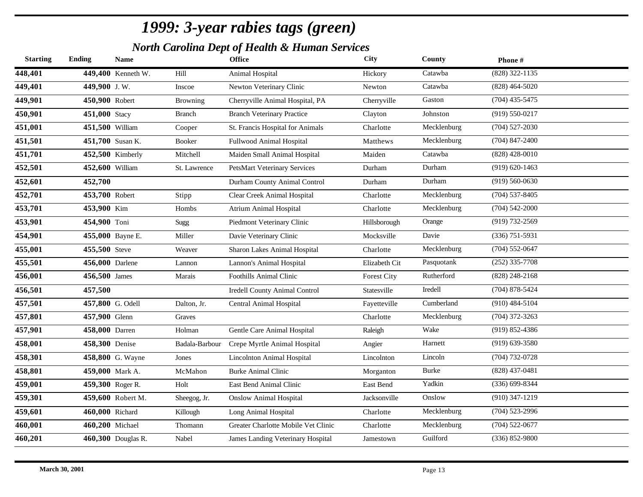*North Carolina Dept of Health & Human Services*

| <b>Starting</b> | <b>Ending</b>   | <b>Name</b>        |                 | <b>Office</b>                        | <b>City</b>        | County      | Phone#             |
|-----------------|-----------------|--------------------|-----------------|--------------------------------------|--------------------|-------------|--------------------|
| 448,401         |                 | 449,400 Kenneth W. | Hill            | Animal Hospital                      | Hickory            | Catawba     | (828) 322-1135     |
| 449,401         | 449,900 J.W.    |                    | Inscoe          | Newton Veterinary Clinic             | Newton             | Catawba     | $(828)$ 464-5020   |
| 449,901         | 450,900 Robert  |                    | <b>Browning</b> | Cherryville Animal Hospital, PA      | Cherryville        | Gaston      | $(704)$ 435-5475   |
| 450,901         | 451,000 Stacy   |                    | <b>Branch</b>   | <b>Branch Veterinary Practice</b>    | Clayton            | Johnston    | $(919) 550 - 0217$ |
| 451,001         | 451,500 William |                    | Cooper          | St. Francis Hospital for Animals     | Charlotte          | Mecklenburg | $(704)$ 527-2030   |
| 451,501         |                 | 451,700 Susan K.   | Booker          | Fullwood Animal Hospital             | Matthews           | Mecklenburg | $(704)$ 847-2400   |
| 451,701         |                 | 452,500 Kimberly   | Mitchell        | Maiden Small Animal Hospital         | Maiden             | Catawba     | $(828)$ 428-0010   |
| 452,501         | 452,600 William |                    | St. Lawrence    | <b>PetsMart Veterinary Services</b>  | Durham             | Durham      | $(919) 620 - 1463$ |
| 452,601         | 452,700         |                    |                 | Durham County Animal Control         | Durham             | Durham      | $(919) 560 - 0630$ |
| 452,701         | 453,700 Robert  |                    | Stipp           | Clear Creek Animal Hospital          | Charlotte          | Mecklenburg | $(704)$ 537-8405   |
| 453,701         | 453,900 Kim     |                    | Hombs           | <b>Atrium Animal Hospital</b>        | Charlotte          | Mecklenburg | $(704) 542 - 2000$ |
| 453,901         | 454,900 Toni    |                    | Sugg            | Piedmont Veterinary Clinic           | Hillsborough       | Orange      | (919) 732-2569     |
| 454,901         |                 | 455,000 Bayne E.   | Miller          | Davie Veterinary Clinic              | Mocksville         | Davie       | $(336)$ 751-5931   |
| 455,001         | 455,500 Steve   |                    | Weaver          | Sharon Lakes Animal Hospital         | Charlotte          | Mecklenburg | $(704)$ 552-0647   |
| 455,501         | 456,000 Darlene |                    | Lannon          | Lannon's Animal Hospital             | Elizabeth Cit      | Pasquotank  | $(252)$ 335-7708   |
| 456,001         | 456,500 James   |                    | Marais          | Foothills Animal Clinic              | <b>Forest City</b> | Rutherford  | $(828)$ 248-2168   |
| 456,501         | 457,500         |                    |                 | <b>Iredell County Animal Control</b> | Statesville        | Iredell     | $(704)$ 878-5424   |
| 457,501         |                 | 457,800 G. Odell   | Dalton, Jr.     | <b>Central Animal Hospital</b>       | Fayetteville       | Cumberland  | $(910)$ 484-5104   |
| 457,801         | 457,900 Glenn   |                    | Graves          |                                      | Charlotte          | Mecklenburg | $(704)$ 372-3263   |
| 457,901         | 458,000 Darren  |                    | Holman          | Gentle Care Animal Hospital          | Raleigh            | Wake        | $(919)$ 852-4386   |
| 458,001         | 458,300 Denise  |                    | Badala-Barbour  | Crepe Myrtle Animal Hospital         | Angier             | Harnett     | $(919)$ 639-3580   |
| 458,301         |                 | 458,800 G. Wayne   | Jones           | Lincolnton Animal Hospital           | Lincolnton         | Lincoln     | (704) 732-0728     |
| 458,801         |                 | 459,000 Mark A.    | McMahon         | <b>Burke Animal Clinic</b>           | Morganton          | Burke       | $(828)$ 437-0481   |
| 459,001         |                 | 459,300 Roger R.   | Holt            | East Bend Animal Clinic              | East Bend          | Yadkin      | $(336) 699 - 8344$ |
| 459,301         |                 | 459,600 Robert M.  | Sheegog, Jr.    | <b>Onslow Animal Hospital</b>        | Jacksonville       | Onslow      | $(910)$ 347-1219   |
| 459,601         | 460,000 Richard |                    | Killough        | Long Animal Hospital                 | Charlotte          | Mecklenburg | $(704)$ 523-2996   |
| 460,001         | 460,200 Michael |                    | Thomann         | Greater Charlotte Mobile Vet Clinic  | Charlotte          | Mecklenburg | $(704)$ 522-0677   |
| 460,201         |                 | 460,300 Douglas R. | Nabel           | James Landing Veterinary Hospital    | Jamestown          | Guilford    | $(336) 852 - 9800$ |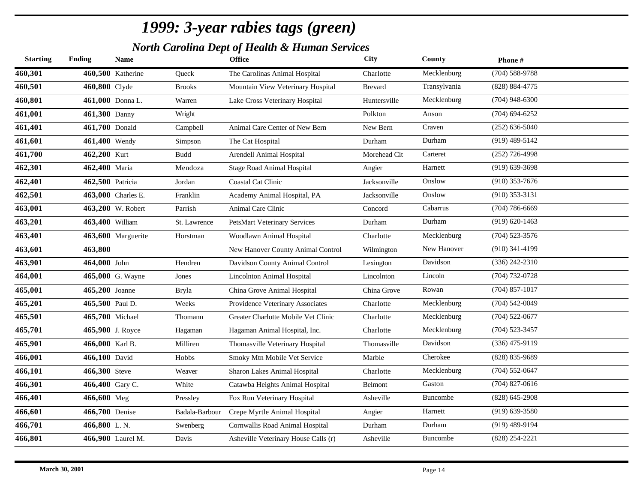*North Carolina Dept of Health & Human Services*

| Mecklenburg<br>$(704) 588 - 9788$<br>460,500 Katherine<br>Queck<br>The Carolinas Animal Hospital<br>Charlotte<br>Transylvania<br>(828) 884-4775<br>460,800 Clyde<br>Mountain View Veterinary Hospital<br><b>Brevard</b><br><b>Brooks</b><br>$(704)$ 948-6300<br>461,000 Donna L.<br>Mecklenburg<br>Warren<br>Huntersville<br>Lake Cross Veterinary Hospital<br>$(704)$ 694-6252<br>Wright<br>Polkton<br>461,300 Danny<br>Anson<br>Craven<br>$(252) 636 - 5040$<br>461,700 Donald<br>New Bern<br>Campbell<br>Animal Care Center of New Bern<br>Durham<br>$(919)$ 489-5142<br>461,400 Wendy<br>The Cat Hospital<br>Durham<br>Simpson<br>Carteret<br>$(252)$ 726-4998<br>462,200 Kurt<br>Arendell Animal Hospital<br>Morehead Cit<br>Budd<br>$(919)$ 639-3698<br>Harnett<br>462,400 Maria<br>Mendoza<br><b>Stage Road Animal Hospital</b><br>Angier<br>Onslow<br>$(910)$ 353-7676<br>462,500 Patricia<br><b>Coastal Cat Clinic</b><br>Jacksonville<br>Jordan<br>$(910)$ 353-3131<br>463,000 Charles E.<br>Onslow<br>Franklin<br>Academy Animal Hospital, PA<br>Jacksonville<br>$(704) 786 - 6669$<br>Cabarrus<br>463,200 W. Robert<br>Parrish<br><b>Animal Care Clinic</b><br>Concord<br>Durham<br>$(919) 620 - 1463$<br>463,400 William<br><b>PetsMart Veterinary Services</b><br>Durham<br>St. Lawrence<br>$(704)$ 523-3576<br>Mecklenburg<br>463,600 Marguerite<br>Woodlawn Animal Hospital<br>Charlotte<br>Horstman<br>New Hanover<br>$(910)$ 341-4199<br>463,800<br>New Hanover County Animal Control<br>Wilmington<br>Davidson<br>$(336)$ 242-2310<br>464,000 John<br>Hendren<br>Davidson County Animal Control<br>Lexington<br>$(704) 732 - 0728$<br>Lincoln<br>465,000 G. Wayne<br><b>Lincolnton Animal Hospital</b><br>Lincolnton<br>Jones<br>$(704)$ 857-1017<br>Rowan<br>465,200 Joanne<br>China Grove Animal Hospital<br>China Grove<br><b>Bryla</b><br>Mecklenburg<br>$(704) 542 - 0049$<br>465,500 Paul D.<br>Providence Veterinary Associates<br>Weeks<br>Charlotte<br>Mecklenburg<br>$(704)$ 522-0677<br>465,700 Michael<br>Greater Charlotte Mobile Vet Clinic<br>Thomann<br>Charlotte<br>Mecklenburg<br>$(704)$ 523-3457<br>465,900 J. Royce<br>Charlotte<br>Hagaman Animal Hospital, Inc.<br>Hagaman<br>Davidson<br>$(336)$ 475-9119<br>466,000 Karl B.<br>Thomasville Veterinary Hospital<br>Milliren<br>Thomasville<br>Cherokee<br>(828) 835-9689<br>466,100 David<br>Smoky Mtn Mobile Vet Service<br>Marble<br>Hobbs<br>Mecklenburg<br>$(704)$ 552-0647<br>466,300 Steve<br>Sharon Lakes Animal Hospital<br>Weaver<br>Charlotte<br>Gaston<br>$(704)$ 827-0616<br>466,400 Gary C.<br>White<br>Catawba Heights Animal Hospital<br>Belmont<br>$(828) 645 - 2908$<br>466,600 Meg<br>Fox Run Veterinary Hospital<br>Asheville<br>Buncombe<br>Pressley<br>Harnett<br>$(919)$ 639-3580<br>466,700 Denise<br>Crepe Myrtle Animal Hospital<br>Badala-Barbour<br>Angier<br>Durham<br>$(919)$ 489-9194<br>466,800 L.N.<br>Cornwallis Road Animal Hospital<br>Durham<br>Swenberg<br>$(828)$ 254-2221<br>466,900 Laurel M.<br>Asheville Veterinary House Calls (r)<br>Asheville<br>Buncombe<br>Davis | <b>Starting</b> | <b>Ending</b> | <b>Name</b> | <b>Office</b> | <b>City</b> | County | Phone# |
|------------------------------------------------------------------------------------------------------------------------------------------------------------------------------------------------------------------------------------------------------------------------------------------------------------------------------------------------------------------------------------------------------------------------------------------------------------------------------------------------------------------------------------------------------------------------------------------------------------------------------------------------------------------------------------------------------------------------------------------------------------------------------------------------------------------------------------------------------------------------------------------------------------------------------------------------------------------------------------------------------------------------------------------------------------------------------------------------------------------------------------------------------------------------------------------------------------------------------------------------------------------------------------------------------------------------------------------------------------------------------------------------------------------------------------------------------------------------------------------------------------------------------------------------------------------------------------------------------------------------------------------------------------------------------------------------------------------------------------------------------------------------------------------------------------------------------------------------------------------------------------------------------------------------------------------------------------------------------------------------------------------------------------------------------------------------------------------------------------------------------------------------------------------------------------------------------------------------------------------------------------------------------------------------------------------------------------------------------------------------------------------------------------------------------------------------------------------------------------------------------------------------------------------------------------------------------------------------------------------------------------------------------------------------------------------------------------------------------------------------------------------------------------------------------------------------------------------------------------------------------------------------------------------------------------------------------------------------------------------------------------------------------------------------------------------------------------------------------------|-----------------|---------------|-------------|---------------|-------------|--------|--------|
|                                                                                                                                                                                                                                                                                                                                                                                                                                                                                                                                                                                                                                                                                                                                                                                                                                                                                                                                                                                                                                                                                                                                                                                                                                                                                                                                                                                                                                                                                                                                                                                                                                                                                                                                                                                                                                                                                                                                                                                                                                                                                                                                                                                                                                                                                                                                                                                                                                                                                                                                                                                                                                                                                                                                                                                                                                                                                                                                                                                                                                                                                                            | 460,301         |               |             |               |             |        |        |
|                                                                                                                                                                                                                                                                                                                                                                                                                                                                                                                                                                                                                                                                                                                                                                                                                                                                                                                                                                                                                                                                                                                                                                                                                                                                                                                                                                                                                                                                                                                                                                                                                                                                                                                                                                                                                                                                                                                                                                                                                                                                                                                                                                                                                                                                                                                                                                                                                                                                                                                                                                                                                                                                                                                                                                                                                                                                                                                                                                                                                                                                                                            | 460,501         |               |             |               |             |        |        |
|                                                                                                                                                                                                                                                                                                                                                                                                                                                                                                                                                                                                                                                                                                                                                                                                                                                                                                                                                                                                                                                                                                                                                                                                                                                                                                                                                                                                                                                                                                                                                                                                                                                                                                                                                                                                                                                                                                                                                                                                                                                                                                                                                                                                                                                                                                                                                                                                                                                                                                                                                                                                                                                                                                                                                                                                                                                                                                                                                                                                                                                                                                            | 460,801         |               |             |               |             |        |        |
|                                                                                                                                                                                                                                                                                                                                                                                                                                                                                                                                                                                                                                                                                                                                                                                                                                                                                                                                                                                                                                                                                                                                                                                                                                                                                                                                                                                                                                                                                                                                                                                                                                                                                                                                                                                                                                                                                                                                                                                                                                                                                                                                                                                                                                                                                                                                                                                                                                                                                                                                                                                                                                                                                                                                                                                                                                                                                                                                                                                                                                                                                                            | 461,001         |               |             |               |             |        |        |
|                                                                                                                                                                                                                                                                                                                                                                                                                                                                                                                                                                                                                                                                                                                                                                                                                                                                                                                                                                                                                                                                                                                                                                                                                                                                                                                                                                                                                                                                                                                                                                                                                                                                                                                                                                                                                                                                                                                                                                                                                                                                                                                                                                                                                                                                                                                                                                                                                                                                                                                                                                                                                                                                                                                                                                                                                                                                                                                                                                                                                                                                                                            | 461,401         |               |             |               |             |        |        |
|                                                                                                                                                                                                                                                                                                                                                                                                                                                                                                                                                                                                                                                                                                                                                                                                                                                                                                                                                                                                                                                                                                                                                                                                                                                                                                                                                                                                                                                                                                                                                                                                                                                                                                                                                                                                                                                                                                                                                                                                                                                                                                                                                                                                                                                                                                                                                                                                                                                                                                                                                                                                                                                                                                                                                                                                                                                                                                                                                                                                                                                                                                            | 461,601         |               |             |               |             |        |        |
|                                                                                                                                                                                                                                                                                                                                                                                                                                                                                                                                                                                                                                                                                                                                                                                                                                                                                                                                                                                                                                                                                                                                                                                                                                                                                                                                                                                                                                                                                                                                                                                                                                                                                                                                                                                                                                                                                                                                                                                                                                                                                                                                                                                                                                                                                                                                                                                                                                                                                                                                                                                                                                                                                                                                                                                                                                                                                                                                                                                                                                                                                                            | 461,700         |               |             |               |             |        |        |
|                                                                                                                                                                                                                                                                                                                                                                                                                                                                                                                                                                                                                                                                                                                                                                                                                                                                                                                                                                                                                                                                                                                                                                                                                                                                                                                                                                                                                                                                                                                                                                                                                                                                                                                                                                                                                                                                                                                                                                                                                                                                                                                                                                                                                                                                                                                                                                                                                                                                                                                                                                                                                                                                                                                                                                                                                                                                                                                                                                                                                                                                                                            | 462,301         |               |             |               |             |        |        |
|                                                                                                                                                                                                                                                                                                                                                                                                                                                                                                                                                                                                                                                                                                                                                                                                                                                                                                                                                                                                                                                                                                                                                                                                                                                                                                                                                                                                                                                                                                                                                                                                                                                                                                                                                                                                                                                                                                                                                                                                                                                                                                                                                                                                                                                                                                                                                                                                                                                                                                                                                                                                                                                                                                                                                                                                                                                                                                                                                                                                                                                                                                            | 462,401         |               |             |               |             |        |        |
|                                                                                                                                                                                                                                                                                                                                                                                                                                                                                                                                                                                                                                                                                                                                                                                                                                                                                                                                                                                                                                                                                                                                                                                                                                                                                                                                                                                                                                                                                                                                                                                                                                                                                                                                                                                                                                                                                                                                                                                                                                                                                                                                                                                                                                                                                                                                                                                                                                                                                                                                                                                                                                                                                                                                                                                                                                                                                                                                                                                                                                                                                                            | 462,501         |               |             |               |             |        |        |
|                                                                                                                                                                                                                                                                                                                                                                                                                                                                                                                                                                                                                                                                                                                                                                                                                                                                                                                                                                                                                                                                                                                                                                                                                                                                                                                                                                                                                                                                                                                                                                                                                                                                                                                                                                                                                                                                                                                                                                                                                                                                                                                                                                                                                                                                                                                                                                                                                                                                                                                                                                                                                                                                                                                                                                                                                                                                                                                                                                                                                                                                                                            | 463,001         |               |             |               |             |        |        |
|                                                                                                                                                                                                                                                                                                                                                                                                                                                                                                                                                                                                                                                                                                                                                                                                                                                                                                                                                                                                                                                                                                                                                                                                                                                                                                                                                                                                                                                                                                                                                                                                                                                                                                                                                                                                                                                                                                                                                                                                                                                                                                                                                                                                                                                                                                                                                                                                                                                                                                                                                                                                                                                                                                                                                                                                                                                                                                                                                                                                                                                                                                            | 463,201         |               |             |               |             |        |        |
|                                                                                                                                                                                                                                                                                                                                                                                                                                                                                                                                                                                                                                                                                                                                                                                                                                                                                                                                                                                                                                                                                                                                                                                                                                                                                                                                                                                                                                                                                                                                                                                                                                                                                                                                                                                                                                                                                                                                                                                                                                                                                                                                                                                                                                                                                                                                                                                                                                                                                                                                                                                                                                                                                                                                                                                                                                                                                                                                                                                                                                                                                                            | 463,401         |               |             |               |             |        |        |
|                                                                                                                                                                                                                                                                                                                                                                                                                                                                                                                                                                                                                                                                                                                                                                                                                                                                                                                                                                                                                                                                                                                                                                                                                                                                                                                                                                                                                                                                                                                                                                                                                                                                                                                                                                                                                                                                                                                                                                                                                                                                                                                                                                                                                                                                                                                                                                                                                                                                                                                                                                                                                                                                                                                                                                                                                                                                                                                                                                                                                                                                                                            | 463,601         |               |             |               |             |        |        |
|                                                                                                                                                                                                                                                                                                                                                                                                                                                                                                                                                                                                                                                                                                                                                                                                                                                                                                                                                                                                                                                                                                                                                                                                                                                                                                                                                                                                                                                                                                                                                                                                                                                                                                                                                                                                                                                                                                                                                                                                                                                                                                                                                                                                                                                                                                                                                                                                                                                                                                                                                                                                                                                                                                                                                                                                                                                                                                                                                                                                                                                                                                            | 463,901         |               |             |               |             |        |        |
|                                                                                                                                                                                                                                                                                                                                                                                                                                                                                                                                                                                                                                                                                                                                                                                                                                                                                                                                                                                                                                                                                                                                                                                                                                                                                                                                                                                                                                                                                                                                                                                                                                                                                                                                                                                                                                                                                                                                                                                                                                                                                                                                                                                                                                                                                                                                                                                                                                                                                                                                                                                                                                                                                                                                                                                                                                                                                                                                                                                                                                                                                                            | 464,001         |               |             |               |             |        |        |
|                                                                                                                                                                                                                                                                                                                                                                                                                                                                                                                                                                                                                                                                                                                                                                                                                                                                                                                                                                                                                                                                                                                                                                                                                                                                                                                                                                                                                                                                                                                                                                                                                                                                                                                                                                                                                                                                                                                                                                                                                                                                                                                                                                                                                                                                                                                                                                                                                                                                                                                                                                                                                                                                                                                                                                                                                                                                                                                                                                                                                                                                                                            | 465,001         |               |             |               |             |        |        |
|                                                                                                                                                                                                                                                                                                                                                                                                                                                                                                                                                                                                                                                                                                                                                                                                                                                                                                                                                                                                                                                                                                                                                                                                                                                                                                                                                                                                                                                                                                                                                                                                                                                                                                                                                                                                                                                                                                                                                                                                                                                                                                                                                                                                                                                                                                                                                                                                                                                                                                                                                                                                                                                                                                                                                                                                                                                                                                                                                                                                                                                                                                            | 465,201         |               |             |               |             |        |        |
|                                                                                                                                                                                                                                                                                                                                                                                                                                                                                                                                                                                                                                                                                                                                                                                                                                                                                                                                                                                                                                                                                                                                                                                                                                                                                                                                                                                                                                                                                                                                                                                                                                                                                                                                                                                                                                                                                                                                                                                                                                                                                                                                                                                                                                                                                                                                                                                                                                                                                                                                                                                                                                                                                                                                                                                                                                                                                                                                                                                                                                                                                                            | 465,501         |               |             |               |             |        |        |
|                                                                                                                                                                                                                                                                                                                                                                                                                                                                                                                                                                                                                                                                                                                                                                                                                                                                                                                                                                                                                                                                                                                                                                                                                                                                                                                                                                                                                                                                                                                                                                                                                                                                                                                                                                                                                                                                                                                                                                                                                                                                                                                                                                                                                                                                                                                                                                                                                                                                                                                                                                                                                                                                                                                                                                                                                                                                                                                                                                                                                                                                                                            | 465,701         |               |             |               |             |        |        |
|                                                                                                                                                                                                                                                                                                                                                                                                                                                                                                                                                                                                                                                                                                                                                                                                                                                                                                                                                                                                                                                                                                                                                                                                                                                                                                                                                                                                                                                                                                                                                                                                                                                                                                                                                                                                                                                                                                                                                                                                                                                                                                                                                                                                                                                                                                                                                                                                                                                                                                                                                                                                                                                                                                                                                                                                                                                                                                                                                                                                                                                                                                            | 465,901         |               |             |               |             |        |        |
|                                                                                                                                                                                                                                                                                                                                                                                                                                                                                                                                                                                                                                                                                                                                                                                                                                                                                                                                                                                                                                                                                                                                                                                                                                                                                                                                                                                                                                                                                                                                                                                                                                                                                                                                                                                                                                                                                                                                                                                                                                                                                                                                                                                                                                                                                                                                                                                                                                                                                                                                                                                                                                                                                                                                                                                                                                                                                                                                                                                                                                                                                                            | 466,001         |               |             |               |             |        |        |
|                                                                                                                                                                                                                                                                                                                                                                                                                                                                                                                                                                                                                                                                                                                                                                                                                                                                                                                                                                                                                                                                                                                                                                                                                                                                                                                                                                                                                                                                                                                                                                                                                                                                                                                                                                                                                                                                                                                                                                                                                                                                                                                                                                                                                                                                                                                                                                                                                                                                                                                                                                                                                                                                                                                                                                                                                                                                                                                                                                                                                                                                                                            | 466,101         |               |             |               |             |        |        |
|                                                                                                                                                                                                                                                                                                                                                                                                                                                                                                                                                                                                                                                                                                                                                                                                                                                                                                                                                                                                                                                                                                                                                                                                                                                                                                                                                                                                                                                                                                                                                                                                                                                                                                                                                                                                                                                                                                                                                                                                                                                                                                                                                                                                                                                                                                                                                                                                                                                                                                                                                                                                                                                                                                                                                                                                                                                                                                                                                                                                                                                                                                            | 466,301         |               |             |               |             |        |        |
|                                                                                                                                                                                                                                                                                                                                                                                                                                                                                                                                                                                                                                                                                                                                                                                                                                                                                                                                                                                                                                                                                                                                                                                                                                                                                                                                                                                                                                                                                                                                                                                                                                                                                                                                                                                                                                                                                                                                                                                                                                                                                                                                                                                                                                                                                                                                                                                                                                                                                                                                                                                                                                                                                                                                                                                                                                                                                                                                                                                                                                                                                                            | 466,401         |               |             |               |             |        |        |
|                                                                                                                                                                                                                                                                                                                                                                                                                                                                                                                                                                                                                                                                                                                                                                                                                                                                                                                                                                                                                                                                                                                                                                                                                                                                                                                                                                                                                                                                                                                                                                                                                                                                                                                                                                                                                                                                                                                                                                                                                                                                                                                                                                                                                                                                                                                                                                                                                                                                                                                                                                                                                                                                                                                                                                                                                                                                                                                                                                                                                                                                                                            | 466,601         |               |             |               |             |        |        |
|                                                                                                                                                                                                                                                                                                                                                                                                                                                                                                                                                                                                                                                                                                                                                                                                                                                                                                                                                                                                                                                                                                                                                                                                                                                                                                                                                                                                                                                                                                                                                                                                                                                                                                                                                                                                                                                                                                                                                                                                                                                                                                                                                                                                                                                                                                                                                                                                                                                                                                                                                                                                                                                                                                                                                                                                                                                                                                                                                                                                                                                                                                            | 466,701         |               |             |               |             |        |        |
|                                                                                                                                                                                                                                                                                                                                                                                                                                                                                                                                                                                                                                                                                                                                                                                                                                                                                                                                                                                                                                                                                                                                                                                                                                                                                                                                                                                                                                                                                                                                                                                                                                                                                                                                                                                                                                                                                                                                                                                                                                                                                                                                                                                                                                                                                                                                                                                                                                                                                                                                                                                                                                                                                                                                                                                                                                                                                                                                                                                                                                                                                                            | 466,801         |               |             |               |             |        |        |